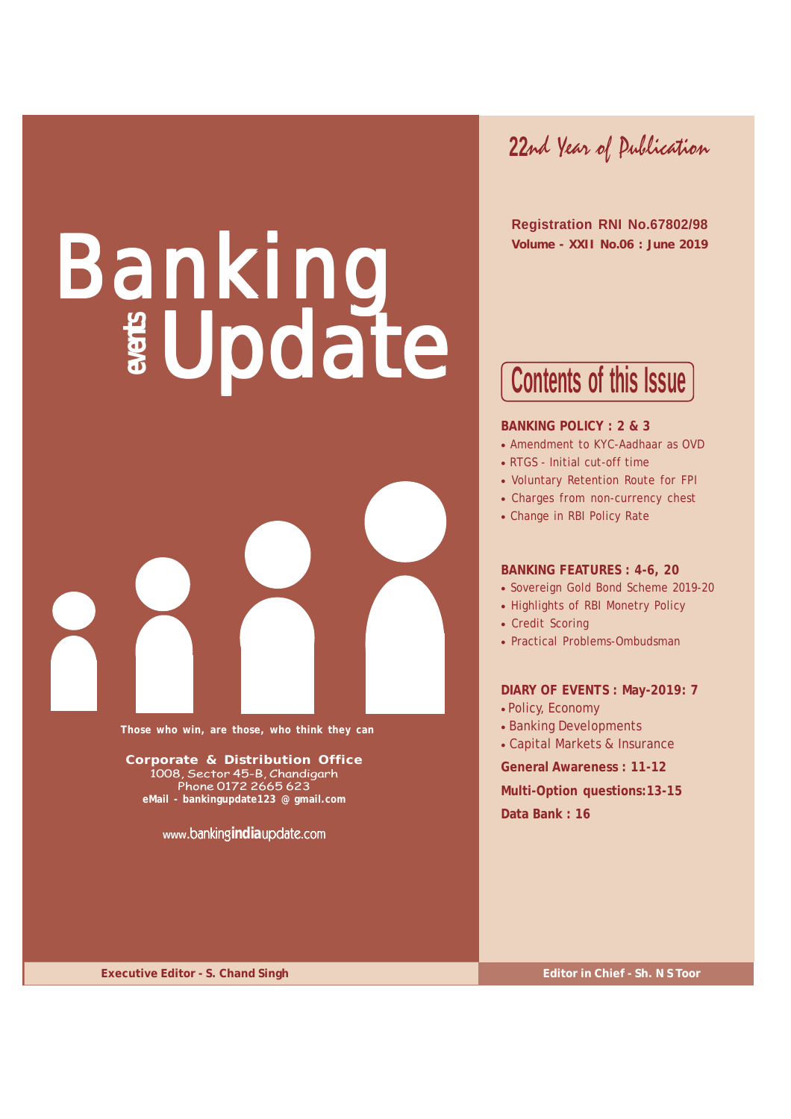# Banking Update



**Those who win, are those, who think they can**

**Corporate & Distribution Office** 1008, Sector 45-B, Chandigarh Phone 0172 2665 623 **eMail - bankingupdate123 @ gmail.com**

**www.**banking**india**update.com

**22**nd Year of Publication

 **Registration RNI No.67802/98 Volume - XXII No.06 : June 2019**

## **Contents of this Issue**

#### **BANKING POLICY : 2 & 3**

- Amendment to KYC-Aadhaar as OVD
- RTGS Initial cut-off time
- Voluntary Retention Route for FPI
- Charges from non-currency chest
- Change in RBI Policy Rate

#### **BANKING FEATURES : 4-6, 20**

- Sovereign Gold Bond Scheme 2019-20
- Highlights of RBI Monetry Policy
- Credit Scoring
- Practical Problems-Ombudsman

#### **DIARY OF EVENTS : May-2019: 7**

- Policy, Economy
- Banking Developments
- Capital Markets & Insurance

**General Awareness : 11-12**

**Multi-Option questions:13-15 Data Bank : 16**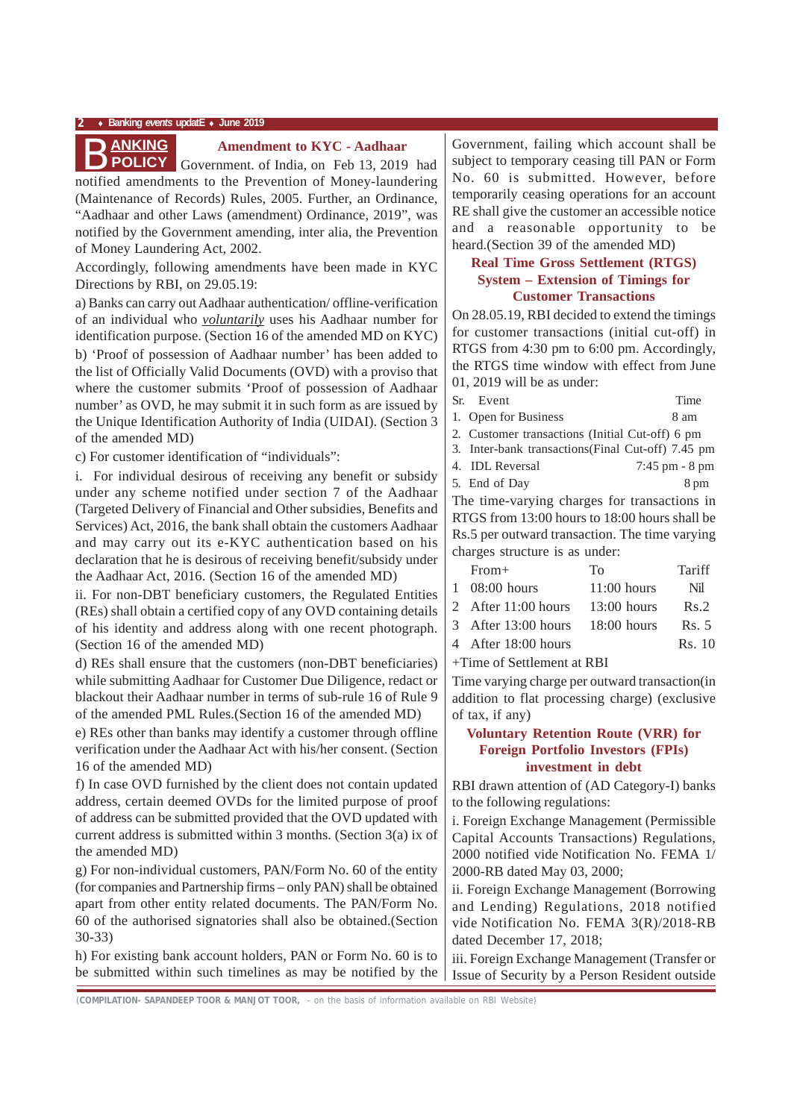

#### **Amendment to KYC - Aadhaar**

notified amendments to the Prevention of Money-laundering (Maintenance of Records) Rules, 2005. Further, an Ordinance, "Aadhaar and other Laws (amendment) Ordinance, 2019", was notified by the Government amending, inter alia, the Prevention of Money Laundering Act, 2002. Government. of India, on Feb 13, 2019 had

Accordingly, following amendments have been made in KYC Directions by RBI, on 29.05.19:

a) Banks can carry out Aadhaar authentication/ offline-verification of an individual who *voluntarily* uses his Aadhaar number for identification purpose. (Section 16 of the amended MD on KYC)

b) 'Proof of possession of Aadhaar number' has been added to the list of Officially Valid Documents (OVD) with a proviso that where the customer submits 'Proof of possession of Aadhaar number' as OVD, he may submit it in such form as are issued by the Unique Identification Authority of India (UIDAI). (Section 3 of the amended MD)

c) For customer identification of "individuals":

i. For individual desirous of receiving any benefit or subsidy under any scheme notified under section 7 of the Aadhaar (Targeted Delivery of Financial and Other subsidies, Benefits and Services) Act, 2016, the bank shall obtain the customers Aadhaar and may carry out its e-KYC authentication based on his declaration that he is desirous of receiving benefit/subsidy under the Aadhaar Act, 2016. (Section 16 of the amended MD)

ii. For non-DBT beneficiary customers, the Regulated Entities (REs) shall obtain a certified copy of any OVD containing details of his identity and address along with one recent photograph. (Section 16 of the amended MD)

d) REs shall ensure that the customers (non-DBT beneficiaries) while submitting Aadhaar for Customer Due Diligence, redact or blackout their Aadhaar number in terms of sub-rule 16 of Rule 9 of the amended PML Rules.(Section 16 of the amended MD)

e) REs other than banks may identify a customer through offline verification under the Aadhaar Act with his/her consent. (Section 16 of the amended MD)

f) In case OVD furnished by the client does not contain updated address, certain deemed OVDs for the limited purpose of proof of address can be submitted provided that the OVD updated with current address is submitted within 3 months. (Section 3(a) ix of the amended MD)

g) For non-individual customers, PAN/Form No. 60 of the entity (for companies and Partnership firms – only PAN) shall be obtained apart from other entity related documents. The PAN/Form No. 60 of the authorised signatories shall also be obtained.(Section 30-33)

h) For existing bank account holders, PAN or Form No. 60 is to be submitted within such timelines as may be notified by the

Government, failing which account shall be subject to temporary ceasing till PAN or Form No. 60 is submitted. However, before temporarily ceasing operations for an account RE shall give the customer an accessible notice and a reasonable opportunity to be heard.(Section 39 of the amended MD)

#### **Real Time Gross Settlement (RTGS) System – Extension of Timings for Customer Transactions**

On 28.05.19, RBI decided to extend the timings for customer transactions (initial cut-off) in RTGS from 4:30 pm to 6:00 pm. Accordingly, the RTGS time window with effect from June 01, 2019 will be as under:

| Sr. Event                                          | Time              |
|----------------------------------------------------|-------------------|
| 1. Open for Business                               | 8 am              |
| 2. Customer transactions (Initial Cut-off) 6 pm    |                   |
| 3. Inter-bank transactions (Final Cut-off) 7.45 pm |                   |
| 4. IDL Reversal                                    | $7:45$ pm $-8$ pm |
| 5. End of Day                                      | 8 pm              |

The time-varying charges for transactions in RTGS from 13:00 hours to 18:00 hours shall be Rs.5 per outward transaction. The time varying charges structure is as under:

| $From+$                         | Tο            | Tariff |
|---------------------------------|---------------|--------|
| $1 \quad 08:00 \text{ hours}$   | $11:00$ hours | Nil    |
| 2 After 11:00 hours             | $13:00$ hours | Rs.2   |
| 3 After 13:00 hours 18:00 hours |               | Rs. 5  |
| 4 After 18:00 hours             |               | Rs. 10 |
|                                 |               |        |

+Time of Settlement at RBI

Time varying charge per outward transaction(in addition to flat processing charge) (exclusive of tax, if any)

#### **Voluntary Retention Route (VRR) for Foreign Portfolio Investors (FPIs) investment in debt**

RBI drawn attention of (AD Category-I) banks to the following regulations:

i. Foreign Exchange Management (Permissible Capital Accounts Transactions) Regulations, 2000 notified vide Notification No. FEMA 1/ 2000-RB dated May 03, 2000;

ii. Foreign Exchange Management (Borrowing and Lending) Regulations, 2018 notified vide Notification No. FEMA 3(R)/2018-RB dated December 17, 2018;

iii. Foreign Exchange Management (Transfer or Issue of Security by a Person Resident outside

*(***COMPILATION- SAPANDEEP TOOR & MANJOT TOOR,** - on the basis of information available on RBI Website)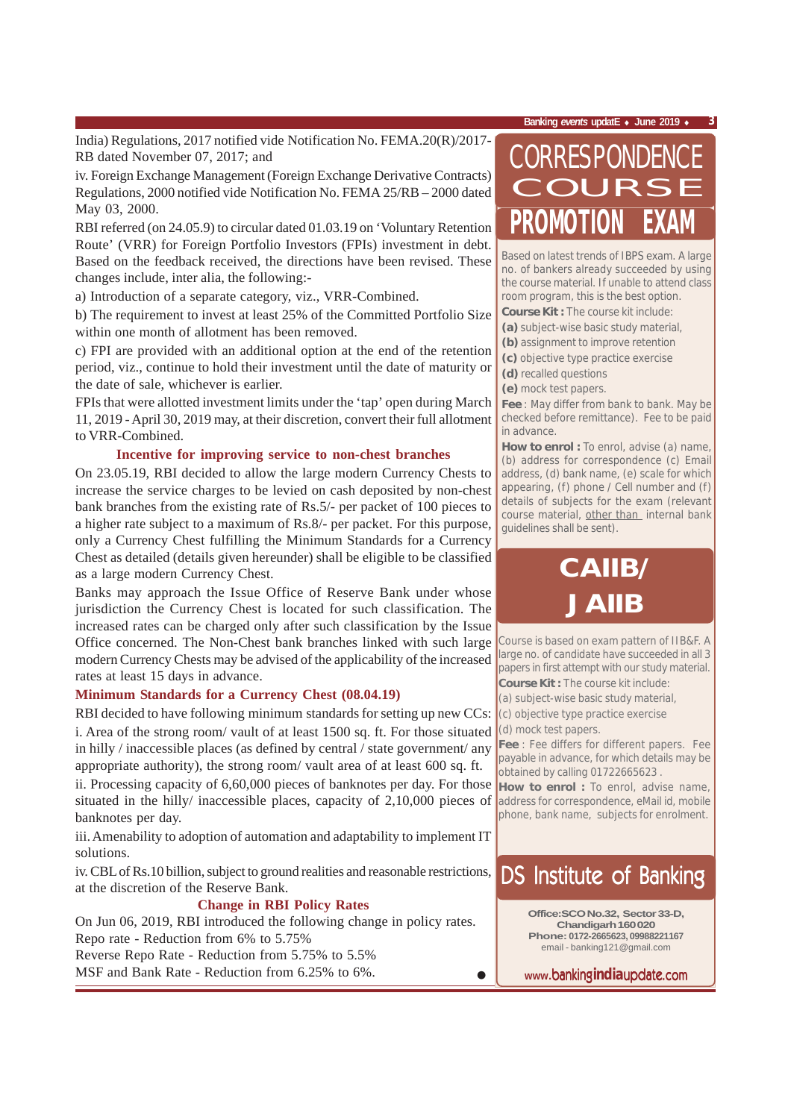India) Regulations, 2017 notified vide Notification No. FEMA.20(R)/2017- RB dated November 07, 2017; and

iv. Foreign Exchange Management (Foreign Exchange Derivative Contracts) Regulations, 2000 notified vide Notification No. FEMA 25/RB – 2000 dated May 03, 2000.

RBI referred (on 24.05.9) to circular dated 01.03.19 on 'Voluntary Retention Route' (VRR) for Foreign Portfolio Investors (FPIs) investment in debt. Based on the feedback received, the directions have been revised. These changes include, inter alia, the following:-

a) Introduction of a separate category, viz., VRR-Combined.

b) The requirement to invest at least 25% of the Committed Portfolio Size within one month of allotment has been removed.

c) FPI are provided with an additional option at the end of the retention period, viz., continue to hold their investment until the date of maturity or the date of sale, whichever is earlier.

FPIs that were allotted investment limits under the 'tap' open during March 11, 2019 - April 30, 2019 may, at their discretion, convert their full allotment to VRR-Combined.

#### **Incentive for improving service to non-chest branches**

On 23.05.19, RBI decided to allow the large modern Currency Chests to increase the service charges to be levied on cash deposited by non-chest bank branches from the existing rate of Rs.5/- per packet of 100 pieces to a higher rate subject to a maximum of Rs.8/- per packet. For this purpose, only a Currency Chest fulfilling the Minimum Standards for a Currency Chest as detailed (details given hereunder) shall be eligible to be classified as a large modern Currency Chest.

Banks may approach the Issue Office of Reserve Bank under whose jurisdiction the Currency Chest is located for such classification. The increased rates can be charged only after such classification by the Issue Office concerned. The Non-Chest bank branches linked with such large modern Currency Chests may be advised of the applicability of the increased rates at least 15 days in advance.

#### **Minimum Standards for a Currency Chest (08.04.19)**

RBI decided to have following minimum standards for setting up new CCs: i. Area of the strong room/ vault of at least 1500 sq. ft. For those situated in hilly / inaccessible places (as defined by central / state government/ any appropriate authority), the strong room/ vault area of at least 600 sq. ft.

ii. Processing capacity of 6,60,000 pieces of banknotes per day. For those situated in the hilly/ inaccessible places, capacity of 2,10,000 pieces of banknotes per day.

iii. Amenability to adoption of automation and adaptability to implement IT solutions.

iv. CBL of Rs.10 billion, subject to ground realities and reasonable restrictions, at the discretion of the Reserve Bank.

#### **Change in RBI Policy Rates**

On Jun 06, 2019, RBI introduced the following change in policy rates. Repo rate - Reduction from 6% to 5.75%

Reverse Repo Rate - Reduction from 5.75% to 5.5% MSF and Bank Rate - Reduction from 6.25% to 6%.

# **PROMO** CORRESPONDENCE COURSE

Based on latest trends of IBPS exam. A large no. of bankers already succeeded by using the course material. If unable to attend class room program, this is the best option.

**Course Kit :** The course kit include:

- **(a)** subject-wise basic study material,
- **(b)** assignment to improve retention
- **(c)** objective type practice exercise
- **(d)** recalled questions
- **(e)** mock test papers.

**Fee** : May differ from bank to bank. May be checked before remittance). Fee to be paid in advance.

How to enrol : To enrol, advise (a) name, (b) address for correspondence (c) Email address, (d) bank name, (e) scale for which appearing, (f) phone / Cell number and (f) details of subjects for the exam (relevant course material, other than internal bank guidelines shall be sent).

## **CAIIB/ JAIIB**

Course is based on exam pattern of IIB&F. A large no. of candidate have succeeded in all 3 papers in first attempt with our study material.

**Course Kit :** The course kit include:

(a) subject-wise basic study material,

(c) objective type practice exercise (d) mock test papers.

**Fee** : Fee differs for different papers. Fee payable in advance, for which details may be obtained by calling 01722665623 .

**How to enrol :** To enrol, advise name, address for correspondence, eMail id, mobile phone, bank name, subjects for enrolment.

## DS Institute of Banking

**Office:SCO No.32, Sector 33-D, Chandigarh 160 020 Phone: 0172-2665623, 09988221167** email - banking121@gmail.com

**www.**banking**india**update.com

•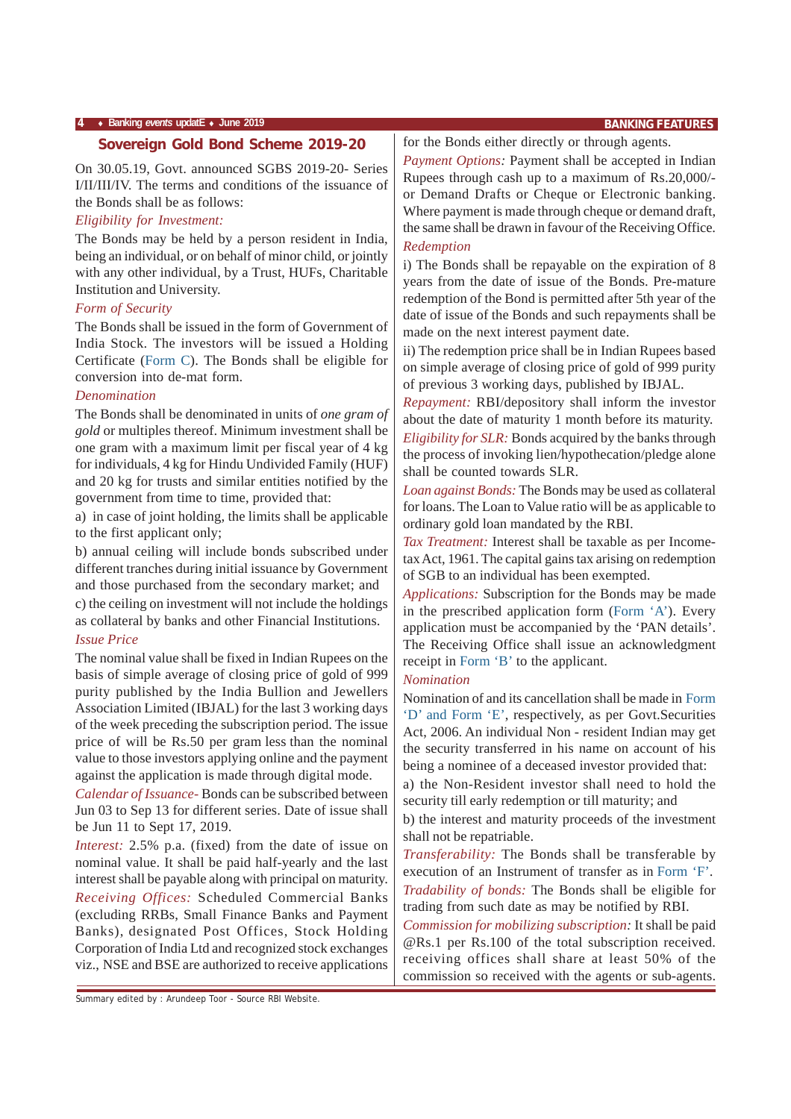#### **Sovereign Gold Bond Scheme 2019-20**

On 30.05.19, Govt. announced SGBS 2019-20- Series I/II/III/IV. The terms and conditions of the issuance of the Bonds shall be as follows:

#### *Eligibility for Investment:*

The Bonds may be held by a person resident in India, being an individual, or on behalf of minor child, or jointly with any other individual, by a Trust, HUFs, Charitable Institution and University.

#### *Form of Security*

The Bonds shall be issued in the form of Government of India Stock. The investors will be issued a Holding Certificate (Form C). The Bonds shall be eligible for conversion into de-mat form.

#### *Denomination*

The Bonds shall be denominated in units of *one gram of gold* or multiples thereof. Minimum investment shall be one gram with a maximum limit per fiscal year of 4 kg for individuals, 4 kg for Hindu Undivided Family (HUF) and 20 kg for trusts and similar entities notified by the government from time to time, provided that:

a) in case of joint holding, the limits shall be applicable to the first applicant only;

b) annual ceiling will include bonds subscribed under different tranches during initial issuance by Government and those purchased from the secondary market; and c) the ceiling on investment will not include the holdings

as collateral by banks and other Financial Institutions.

#### *Issue Price*

The nominal value shall be fixed in Indian Rupees on the basis of simple average of closing price of gold of 999 purity published by the India Bullion and Jewellers Association Limited (IBJAL) for the last 3 working days of the week preceding the subscription period. The issue price of will be Rs.50 per gram less than the nominal value to those investors applying online and the payment against the application is made through digital mode.

*Calendar of Issuance-* Bonds can be subscribed between Jun 03 to Sep 13 for different series. Date of issue shall be Jun 11 to Sept 17, 2019.

*Interest:* 2.5% p.a. (fixed) from the date of issue on nominal value. It shall be paid half-yearly and the last interest shall be payable along with principal on maturity. *Receiving Offices:* Scheduled Commercial Banks (excluding RRBs, Small Finance Banks and Payment Banks), designated Post Offices, Stock Holding Corporation of India Ltd and recognized stock exchanges viz., NSE and BSE are authorized to receive applications

for the Bonds either directly or through agents.

*Payment Options:* Payment shall be accepted in Indian Rupees through cash up to a maximum of Rs.20,000/ or Demand Drafts or Cheque or Electronic banking. Where payment is made through cheque or demand draft, the same shall be drawn in favour of the Receiving Office.

#### *Redemption*

i) The Bonds shall be repayable on the expiration of 8 years from the date of issue of the Bonds. Pre-mature redemption of the Bond is permitted after 5th year of the date of issue of the Bonds and such repayments shall be made on the next interest payment date.

ii) The redemption price shall be in Indian Rupees based on simple average of closing price of gold of 999 purity of previous 3 working days, published by IBJAL.

*Repayment:* RBI/depository shall inform the investor about the date of maturity 1 month before its maturity.

*Eligibility for SLR:* Bonds acquired by the banks through the process of invoking lien/hypothecation/pledge alone shall be counted towards SLR.

*Loan against Bonds:* The Bonds may be used as collateral for loans. The Loan to Value ratio will be as applicable to ordinary gold loan mandated by the RBI.

*Tax Treatment:* Interest shall be taxable as per Incometax Act, 1961. The capital gains tax arising on redemption of SGB to an individual has been exempted.

*Applications:* Subscription for the Bonds may be made in the prescribed application form (Form 'A'). Every application must be accompanied by the 'PAN details'. The Receiving Office shall issue an acknowledgment receipt in Form 'B' to the applicant.

#### *Nomination*

Nomination of and its cancellation shall be made in Form 'D' and Form 'E', respectively, as per Govt.Securities Act, 2006. An individual Non - resident Indian may get the security transferred in his name on account of his being a nominee of a deceased investor provided that:

a) the Non-Resident investor shall need to hold the security till early redemption or till maturity; and

b) the interest and maturity proceeds of the investment shall not be repatriable.

*Transferability:* The Bonds shall be transferable by execution of an Instrument of transfer as in Form 'F'. *Tradability of bonds:* The Bonds shall be eligible for

trading from such date as may be notified by RBI.

*Commission for mobilizing subscription:* It shall be paid @Rs.1 per Rs.100 of the total subscription received. receiving offices shall share at least 50% of the commission so received with the agents or sub-agents.

Summary edited by : Arundeep Toor - Source RBI Website.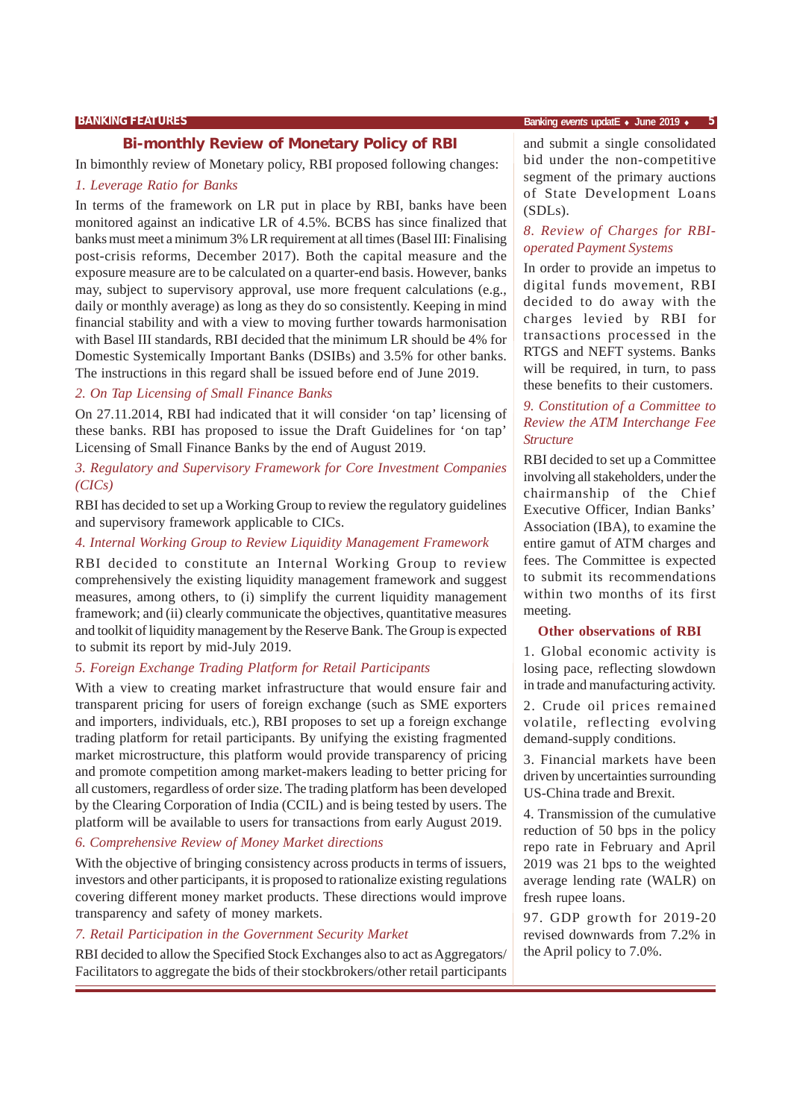#### **Bi-monthly Review of Monetary Policy of RBI**

In bimonthly review of Monetary policy, RBI proposed following changes:

#### *1. Leverage Ratio for Banks*

In terms of the framework on LR put in place by RBI, banks have been monitored against an indicative LR of 4.5%. BCBS has since finalized that banks must meet a minimum 3% LR requirement at all times (Basel III: Finalising post-crisis reforms, December 2017). Both the capital measure and the exposure measure are to be calculated on a quarter-end basis. However, banks may, subject to supervisory approval, use more frequent calculations (e.g., daily or monthly average) as long as they do so consistently. Keeping in mind financial stability and with a view to moving further towards harmonisation with Basel III standards, RBI decided that the minimum LR should be 4% for Domestic Systemically Important Banks (DSIBs) and 3.5% for other banks. The instructions in this regard shall be issued before end of June 2019.

#### *2. On Tap Licensing of Small Finance Banks*

On 27.11.2014, RBI had indicated that it will consider 'on tap' licensing of these banks. RBI has proposed to issue the Draft Guidelines for 'on tap' Licensing of Small Finance Banks by the end of August 2019.

#### *3. Regulatory and Supervisory Framework for Core Investment Companies (CICs)*

RBI has decided to set up a Working Group to review the regulatory guidelines and supervisory framework applicable to CICs.

#### *4. Internal Working Group to Review Liquidity Management Framework*

RBI decided to constitute an Internal Working Group to review comprehensively the existing liquidity management framework and suggest measures, among others, to (i) simplify the current liquidity management framework; and (ii) clearly communicate the objectives, quantitative measures and toolkit of liquidity management by the Reserve Bank. The Group is expected to submit its report by mid-July 2019.

#### *5. Foreign Exchange Trading Platform for Retail Participants*

With a view to creating market infrastructure that would ensure fair and transparent pricing for users of foreign exchange (such as SME exporters and importers, individuals, etc.), RBI proposes to set up a foreign exchange trading platform for retail participants. By unifying the existing fragmented market microstructure, this platform would provide transparency of pricing and promote competition among market-makers leading to better pricing for all customers, regardless of order size. The trading platform has been developed by the Clearing Corporation of India (CCIL) and is being tested by users. The platform will be available to users for transactions from early August 2019.

#### *6. Comprehensive Review of Money Market directions*

With the objective of bringing consistency across products in terms of issuers, investors and other participants, it is proposed to rationalize existing regulations covering different money market products. These directions would improve transparency and safety of money markets.

#### *7. Retail Participation in the Government Security Market*

RBI decided to allow the Specified Stock Exchanges also to act as Aggregators/ Facilitators to aggregate the bids of their stockbrokers/other retail participants and submit a single consolidated bid under the non-competitive segment of the primary auctions of State Development Loans (SDLs).

#### *8. Review of Charges for RBIoperated Payment Systems*

In order to provide an impetus to digital funds movement, RBI decided to do away with the charges levied by RBI for transactions processed in the RTGS and NEFT systems. Banks will be required, in turn, to pass these benefits to their customers.

#### *9. Constitution of a Committee to Review the ATM Interchange Fee Structure*

RBI decided to set up a Committee involving all stakeholders, under the chairmanship of the Chief Executive Officer, Indian Banks' Association (IBA), to examine the entire gamut of ATM charges and fees. The Committee is expected to submit its recommendations within two months of its first meeting.

#### **Other observations of RBI**

1. Global economic activity is losing pace, reflecting slowdown in trade and manufacturing activity.

2. Crude oil prices remained volatile, reflecting evolving demand-supply conditions.

3. Financial markets have been driven by uncertainties surrounding US-China trade and Brexit.

4. Transmission of the cumulative reduction of 50 bps in the policy repo rate in February and April 2019 was 21 bps to the weighted average lending rate (WALR) on fresh rupee loans.

97. GDP growth for 2019-20 revised downwards from 7.2% in the April policy to 7.0%.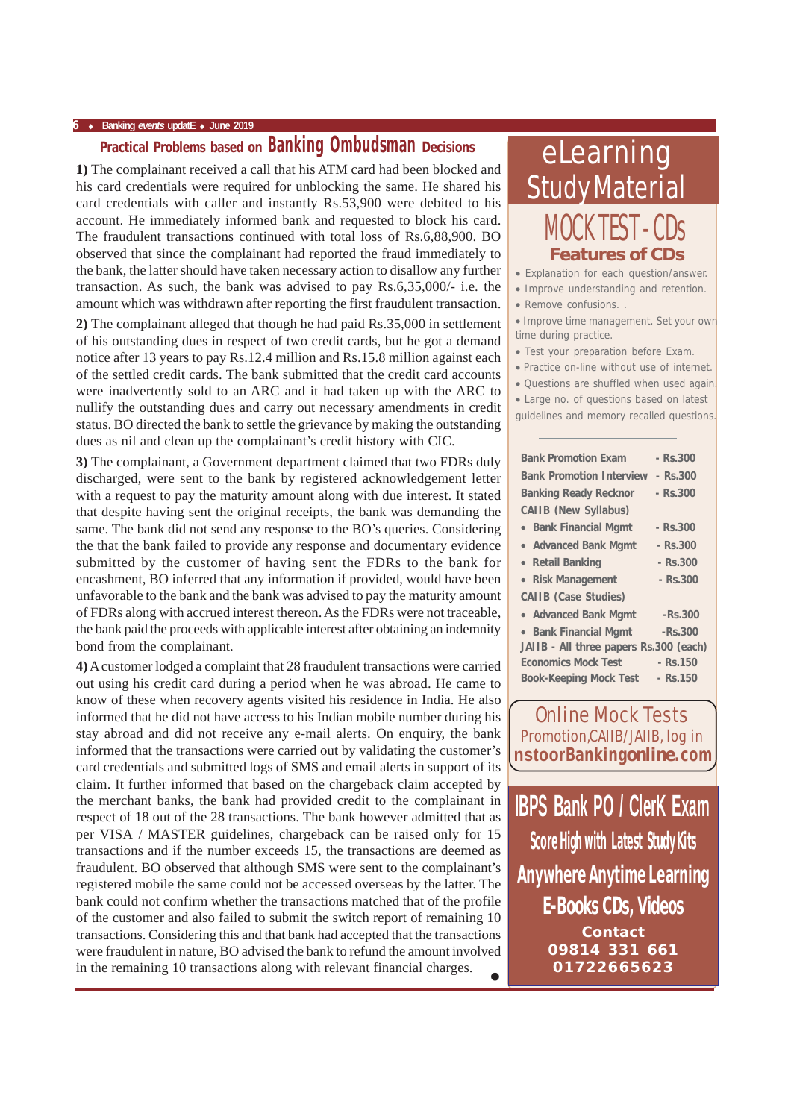## **Practical Problems based on Banking Ombudsman Decisions**

**1)** The complainant received a call that his ATM card had been blocked and his card credentials were required for unblocking the same. He shared his card credentials with caller and instantly Rs.53,900 were debited to his account. He immediately informed bank and requested to block his card. The fraudulent transactions continued with total loss of Rs.6,88,900. BO observed that since the complainant had reported the fraud immediately to the bank, the latter should have taken necessary action to disallow any further transaction. As such, the bank was advised to pay Rs.6,35,000/- i.e. the amount which was withdrawn after reporting the first fraudulent transaction.

**2)** The complainant alleged that though he had paid Rs.35,000 in settlement of his outstanding dues in respect of two credit cards, but he got a demand notice after 13 years to pay Rs.12.4 million and Rs.15.8 million against each of the settled credit cards. The bank submitted that the credit card accounts were inadvertently sold to an ARC and it had taken up with the ARC to nullify the outstanding dues and carry out necessary amendments in credit status. BO directed the bank to settle the grievance by making the outstanding dues as nil and clean up the complainant's credit history with CIC.

**3)** The complainant, a Government department claimed that two FDRs duly discharged, were sent to the bank by registered acknowledgement letter with a request to pay the maturity amount along with due interest. It stated that despite having sent the original receipts, the bank was demanding the same. The bank did not send any response to the BO's queries. Considering the that the bank failed to provide any response and documentary evidence submitted by the customer of having sent the FDRs to the bank for encashment, BO inferred that any information if provided, would have been unfavorable to the bank and the bank was advised to pay the maturity amount of FDRs along with accrued interest thereon. As the FDRs were not traceable, the bank paid the proceeds with applicable interest after obtaining an indemnity bond from the complainant.

• **4)** A customer lodged a complaint that 28 fraudulent transactions were carried out using his credit card during a period when he was abroad. He came to know of these when recovery agents visited his residence in India. He also informed that he did not have access to his Indian mobile number during his stay abroad and did not receive any e-mail alerts. On enquiry, the bank informed that the transactions were carried out by validating the customer's card credentials and submitted logs of SMS and email alerts in support of its claim. It further informed that based on the chargeback claim accepted by the merchant banks, the bank had provided credit to the complainant in respect of 18 out of the 28 transactions. The bank however admitted that as per VISA / MASTER guidelines, chargeback can be raised only for 15 transactions and if the number exceeds 15, the transactions are deemed as fraudulent. BO observed that although SMS were sent to the complainant's registered mobile the same could not be accessed overseas by the latter. The bank could not confirm whether the transactions matched that of the profile of the customer and also failed to submit the switch report of remaining 10 transactions. Considering this and that bank had accepted that the transactions were fraudulent in nature, BO advised the bank to refund the amount involved in the remaining 10 transactions along with relevant financial charges.

## eLearning Study Material MOCK TEST - CDs **Features of CDs**

• Explanation for each question/answer.

- Improve understanding and retention.
- Remove confusions. .

• Improve time management. Set your own time during practice.

- Test your preparation before Exam.
- Practice on-line without use of internet.
- Questions are shuffled when used again.
- Large no. of questions based on latest
- guidelines and memory recalled questions.

| <b>Bank Promotion Exam</b>             | - Rs.300    |
|----------------------------------------|-------------|
| <b>Bank Promotion Interview</b>        | - Rs.300    |
| <b>Banking Ready Recknor</b>           | - Rs.300    |
| <b>CAIIB (New Syllabus)</b>            |             |
| • Bank Financial Mgmt                  | - Rs.300    |
| • Advanced Bank Mgmt                   | - Rs.300    |
| • Retail Banking                       | $-$ Rs.300  |
| • Risk Management                      | $-$ Rs.300  |
| <b>CAIIB</b> (Case Studies)            |             |
| • Advanced Bank Mgmt                   | -Rs.300     |
| • Bank Financial Mgmt                  | $-Rs.300$   |
| JAIIB - All three papers Rs.300 (each) |             |
| <b>Economics Mock Test</b>             | $-$ Rs. 150 |
| <b>Book-Keeping Mock Test</b>          | - Rs.150    |
|                                        |             |

Online Mock Tests Promotion,CAIIB/JAIIB, log in **nstoorBanking***online***.com**

**IBPS Bank PO / ClerK Exam Score High with Latest Study Kits E-Books CDs, Videos Contact 09814 331 661 01722665623 Anywhere Anytime Learning**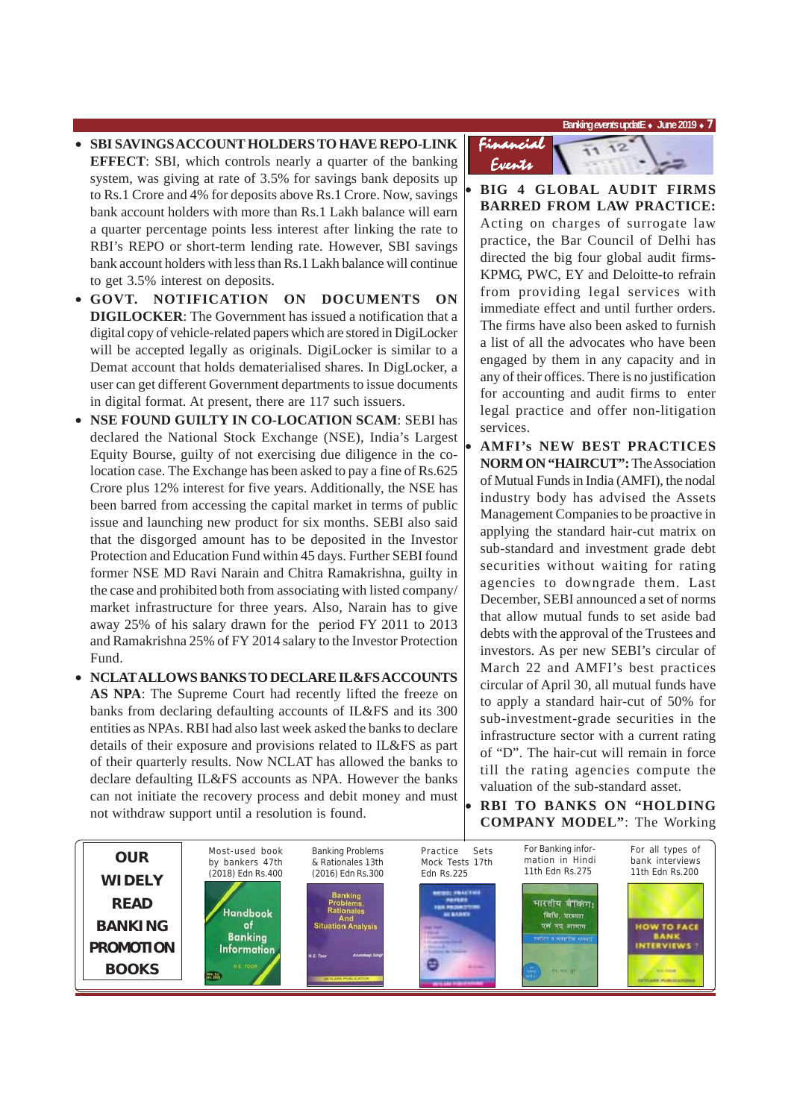**Banking** *events* **updatE** ♦ **June 2019** ♦ **7**

- **SBI SAVINGS ACCOUNT HOLDERS TO HAVE REPO-LINK EFFECT**: SBI, which controls nearly a quarter of the banking system, was giving at rate of 3.5% for savings bank deposits up to Rs.1 Crore and 4% for deposits above Rs.1 Crore. Now, savings bank account holders with more than Rs.1 Lakh balance will earn a quarter percentage points less interest after linking the rate to RBI's REPO or short-term lending rate. However, SBI savings bank account holders with less than Rs.1 Lakh balance will continue to get 3.5% interest on deposits.
- **GOVT. NOTIFICATION ON DOCUMENTS ON DIGILOCKER**: The Government has issued a notification that a digital copy of vehicle-related papers which are stored in DigiLocker will be accepted legally as originals. DigiLocker is similar to a Demat account that holds dematerialised shares. In DigLocker, a user can get different Government departments to issue documents in digital format. At present, there are 117 such issuers.
- **NSE FOUND GUILTY IN CO-LOCATION SCAM**: SEBI has declared the National Stock Exchange (NSE), India's Largest Equity Bourse, guilty of not exercising due diligence in the colocation case. The Exchange has been asked to pay a fine of Rs.625 Crore plus 12% interest for five years. Additionally, the NSE has been barred from accessing the capital market in terms of public issue and launching new product for six months. SEBI also said that the disgorged amount has to be deposited in the Investor Protection and Education Fund within 45 days. Further SEBI found former NSE MD Ravi Narain and Chitra Ramakrishna, guilty in the case and prohibited both from associating with listed company/ market infrastructure for three years. Also, Narain has to give away 25% of his salary drawn for the period FY 2011 to 2013 and Ramakrishna 25% of FY 2014 salary to the Investor Protection Fund.
- **NCLAT ALLOWS BANKS TO DECLARE IL&FS ACCOUNTS AS NPA**: The Supreme Court had recently lifted the freeze on banks from declaring defaulting accounts of IL&FS and its 300 entities as NPAs. RBI had also last week asked the banks to declare details of their exposure and provisions related to IL&FS as part of their quarterly results. Now NCLAT has allowed the banks to declare defaulting IL&FS accounts as NPA. However the banks can not initiate the recovery process and debit money and must not withdraw support until a resolution is found.



- **BIG 4 GLOBAL AUDIT FIRMS BARRED FROM LAW PRACTICE:** Acting on charges of surrogate law practice, the Bar Council of Delhi has directed the big four global audit firms-KPMG, PWC, EY and Deloitte-to refrain from providing legal services with immediate effect and until further orders. The firms have also been asked to furnish a list of all the advocates who have been engaged by them in any capacity and in any of their offices. There is no justification for accounting and audit firms to enter legal practice and offer non-litigation services.
- **AMFI's NEW BEST PRACTICES NORM ON "HAIRCUT":** The Association of Mutual Funds in India (AMFI), the nodal industry body has advised the Assets Management Companies to be proactive in applying the standard hair-cut matrix on sub-standard and investment grade debt securities without waiting for rating agencies to downgrade them. Last December, SEBI announced a set of norms that allow mutual funds to set aside bad debts with the approval of the Trustees and investors. As per new SEBI's circular of March 22 and AMFI's best practices circular of April 30, all mutual funds have to apply a standard hair-cut of 50% for sub-investment-grade securities in the infrastructure sector with a current rating of "D". The hair-cut will remain in force till the rating agencies compute the valuation of the sub-standard asset.

• **RBI TO BANKS ON "HOLDING COMPANY MODEL"**: The Working

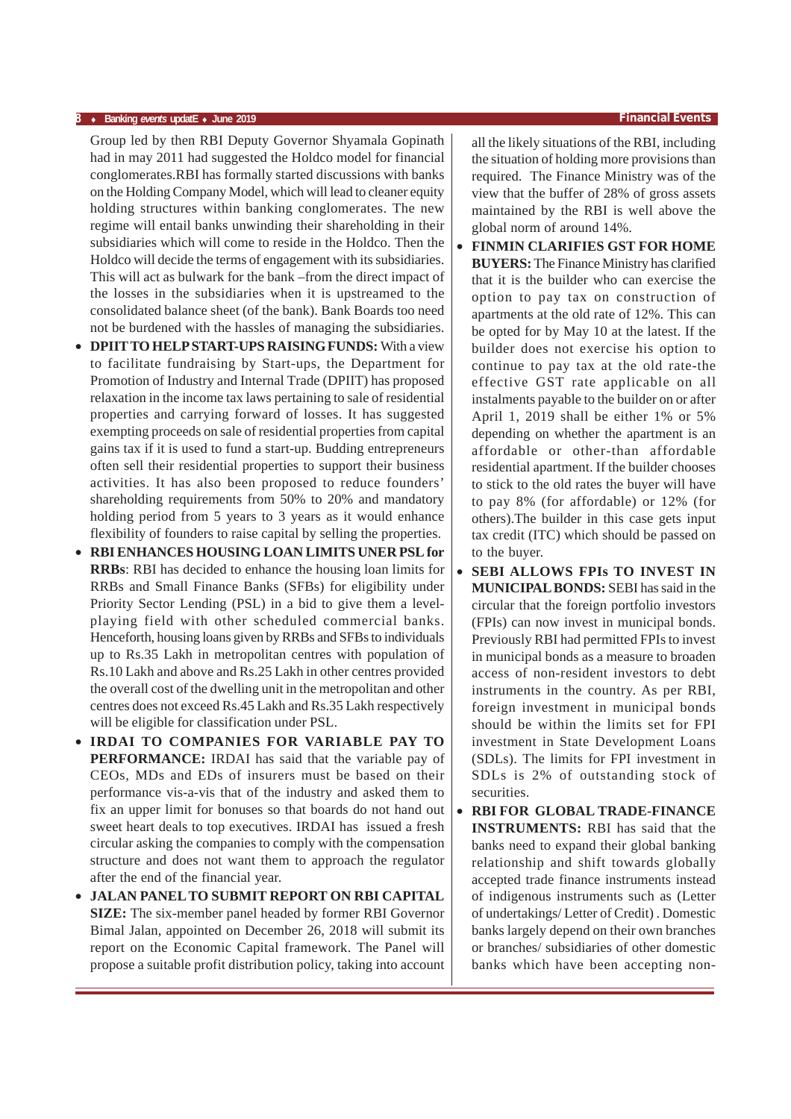#### **8** ♦ **Banking** *events* **updatE** ♦ **June 2019 Financial Events**

Group led by then RBI Deputy Governor Shyamala Gopinath had in may 2011 had suggested the Holdco model for financial conglomerates.RBI has formally started discussions with banks on the Holding Company Model, which will lead to cleaner equity holding structures within banking conglomerates. The new regime will entail banks unwinding their shareholding in their subsidiaries which will come to reside in the Holdco. Then the Holdco will decide the terms of engagement with its subsidiaries. This will act as bulwark for the bank –from the direct impact of the losses in the subsidiaries when it is upstreamed to the consolidated balance sheet (of the bank). Bank Boards too need not be burdened with the hassles of managing the subsidiaries.

- **DPIIT TO HELP START-UPS RAISING FUNDS:** With a view to facilitate fundraising by Start-ups, the Department for Promotion of Industry and Internal Trade (DPIIT) has proposed relaxation in the income tax laws pertaining to sale of residential properties and carrying forward of losses. It has suggested exempting proceeds on sale of residential properties from capital gains tax if it is used to fund a start-up. Budding entrepreneurs often sell their residential properties to support their business activities. It has also been proposed to reduce founders' shareholding requirements from 50% to 20% and mandatory holding period from 5 years to 3 years as it would enhance flexibility of founders to raise capital by selling the properties.
- **RBI ENHANCES HOUSING LOAN LIMITS UNER PSL for RRBs**: RBI has decided to enhance the housing loan limits for RRBs and Small Finance Banks (SFBs) for eligibility under Priority Sector Lending (PSL) in a bid to give them a levelplaying field with other scheduled commercial banks. Henceforth, housing loans given by RRBs and SFBs to individuals up to Rs.35 Lakh in metropolitan centres with population of Rs.10 Lakh and above and Rs.25 Lakh in other centres provided the overall cost of the dwelling unit in the metropolitan and other centres does not exceed Rs.45 Lakh and Rs.35 Lakh respectively will be eligible for classification under PSL.
- **IRDAI TO COMPANIES FOR VARIABLE PAY TO PERFORMANCE:** IRDAI has said that the variable pay of CEOs, MDs and EDs of insurers must be based on their performance vis-a-vis that of the industry and asked them to fix an upper limit for bonuses so that boards do not hand out sweet heart deals to top executives. IRDAI has issued a fresh circular asking the companies to comply with the compensation structure and does not want them to approach the regulator after the end of the financial year.
- **JALAN PANEL TO SUBMIT REPORT ON RBI CAPITAL SIZE:** The six-member panel headed by former RBI Governor Bimal Jalan, appointed on December 26, 2018 will submit its report on the Economic Capital framework. The Panel will propose a suitable profit distribution policy, taking into account

all the likely situations of the RBI, including the situation of holding more provisions than required. The Finance Ministry was of the view that the buffer of 28% of gross assets maintained by the RBI is well above the global norm of around 14%.

- **FINMIN CLARIFIES GST FOR HOME BUYERS:** The Finance Ministry has clarified that it is the builder who can exercise the option to pay tax on construction of apartments at the old rate of 12%. This can be opted for by May 10 at the latest. If the builder does not exercise his option to continue to pay tax at the old rate-the effective GST rate applicable on all instalments payable to the builder on or after April 1, 2019 shall be either 1% or 5% depending on whether the apartment is an affordable or other-than affordable residential apartment. If the builder chooses to stick to the old rates the buyer will have to pay 8% (for affordable) or 12% (for others).The builder in this case gets input tax credit (ITC) which should be passed on to the buyer.
- **SEBI ALLOWS FPIS TO INVEST IN MUNICIPAL BONDS:** SEBI has said in the circular that the foreign portfolio investors (FPIs) can now invest in municipal bonds. Previously RBI had permitted FPIs to invest in municipal bonds as a measure to broaden access of non-resident investors to debt instruments in the country. As per RBI, foreign investment in municipal bonds should be within the limits set for FPI investment in State Development Loans (SDLs). The limits for FPI investment in SDLs is 2% of outstanding stock of securities.
- **RBI FOR GLOBAL TRADE-FINANCE INSTRUMENTS:** RBI has said that the banks need to expand their global banking relationship and shift towards globally accepted trade finance instruments instead of indigenous instruments such as (Letter of undertakings/ Letter of Credit) . Domestic banks largely depend on their own branches or branches/ subsidiaries of other domestic banks which have been accepting non-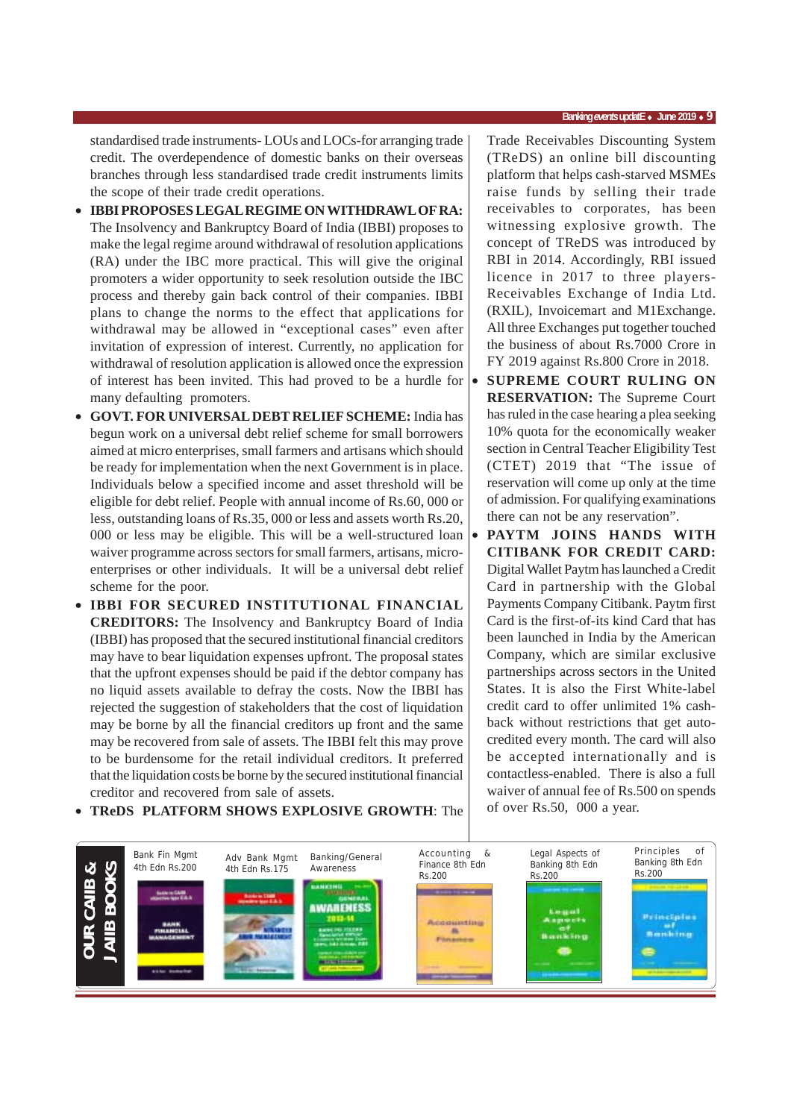#### **Banking** *events* **updatE** ♦ **June 2019** ♦ **9**

standardised trade instruments- LOUs and LOCs-for arranging trade credit. The overdependence of domestic banks on their overseas branches through less standardised trade credit instruments limits the scope of their trade credit operations.

- **IBBI PROPOSES LEGAL REGIME ON WITHDRAWL OF RA:** The Insolvency and Bankruptcy Board of India (IBBI) proposes to make the legal regime around withdrawal of resolution applications (RA) under the IBC more practical. This will give the original promoters a wider opportunity to seek resolution outside the IBC process and thereby gain back control of their companies. IBBI plans to change the norms to the effect that applications for withdrawal may be allowed in "exceptional cases" even after invitation of expression of interest. Currently, no application for withdrawal of resolution application is allowed once the expression of interest has been invited. This had proved to be a hurdle for many defaulting promoters.
- **GOVT. FOR UNIVERSAL DEBT RELIEF SCHEME:** India has begun work on a universal debt relief scheme for small borrowers aimed at micro enterprises, small farmers and artisans which should be ready for implementation when the next Government is in place. Individuals below a specified income and asset threshold will be eligible for debt relief. People with annual income of Rs.60, 000 or less, outstanding loans of Rs.35, 000 or less and assets worth Rs.20, 000 or less may be eligible. This will be a well-structured loan waiver programme across sectors for small farmers, artisans, microenterprises or other individuals. It will be a universal debt relief scheme for the poor.
- **IBBI FOR SECURED INSTITUTIONAL FINANCIAL CREDITORS:** The Insolvency and Bankruptcy Board of India (IBBI) has proposed that the secured institutional financial creditors may have to bear liquidation expenses upfront. The proposal states that the upfront expenses should be paid if the debtor company has no liquid assets available to defray the costs. Now the IBBI has rejected the suggestion of stakeholders that the cost of liquidation may be borne by all the financial creditors up front and the same may be recovered from sale of assets. The IBBI felt this may prove to be burdensome for the retail individual creditors. It preferred that the liquidation costs be borne by the secured institutional financial creditor and recovered from sale of assets.

Trade Receivables Discounting System (TReDS) an online bill discounting platform that helps cash-starved MSMEs raise funds by selling their trade receivables to corporates, has been witnessing explosive growth. The concept of TReDS was introduced by RBI in 2014. Accordingly, RBI issued licence in 2017 to three players-Receivables Exchange of India Ltd. (RXIL), Invoicemart and M1Exchange. All three Exchanges put together touched the business of about Rs.7000 Crore in FY 2019 against Rs.800 Crore in 2018.

- **SUPREME COURT RULING ON RESERVATION:** The Supreme Court has ruled in the case hearing a plea seeking 10% quota for the economically weaker section in Central Teacher Eligibility Test (CTET) 2019 that "The issue of reservation will come up only at the time of admission. For qualifying examinations there can not be any reservation".
- **PAYTM JOINS HANDS WITH CITIBANK FOR CREDIT CARD:** Digital Wallet Paytm has launched a Credit Card in partnership with the Global Payments Company Citibank. Paytm first Card is the first-of-its kind Card that has been launched in India by the American Company, which are similar exclusive partnerships across sectors in the United States. It is also the First White-label credit card to offer unlimited 1% cashback without restrictions that get autocredited every month. The card will also be accepted internationally and is contactless-enabled. There is also a full waiver of annual fee of Rs.500 on spends of over Rs.50, 000 a year.



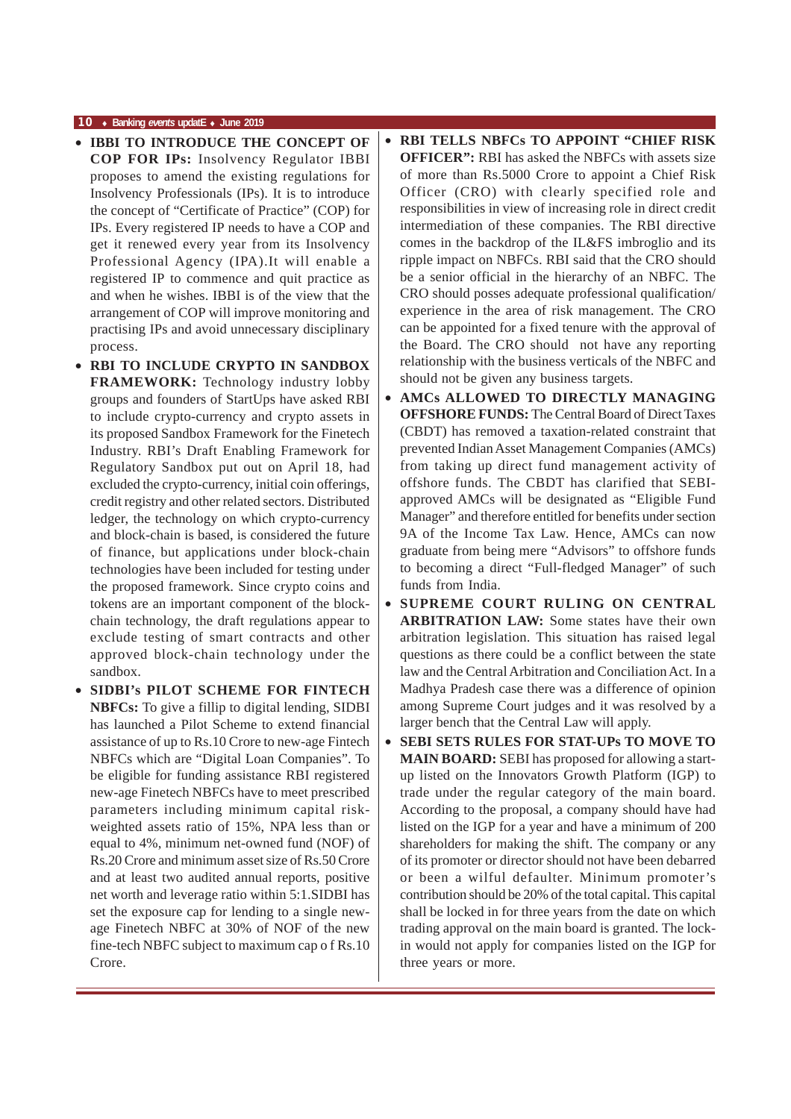- **IBBI TO INTRODUCE THE CONCEPT OF COP FOR IPs:** Insolvency Regulator IBBI proposes to amend the existing regulations for Insolvency Professionals (IPs). It is to introduce the concept of "Certificate of Practice" (COP) for IPs. Every registered IP needs to have a COP and get it renewed every year from its Insolvency Professional Agency (IPA).It will enable a registered IP to commence and quit practice as and when he wishes. IBBI is of the view that the arrangement of COP will improve monitoring and practising IPs and avoid unnecessary disciplinary process.
- **RBI TO INCLUDE CRYPTO IN SANDBOX FRAMEWORK:** Technology industry lobby groups and founders of StartUps have asked RBI to include crypto-currency and crypto assets in its proposed Sandbox Framework for the Finetech Industry. RBI's Draft Enabling Framework for Regulatory Sandbox put out on April 18, had excluded the crypto-currency, initial coin offerings, credit registry and other related sectors. Distributed ledger, the technology on which crypto-currency and block-chain is based, is considered the future of finance, but applications under block-chain technologies have been included for testing under the proposed framework. Since crypto coins and tokens are an important component of the blockchain technology, the draft regulations appear to exclude testing of smart contracts and other approved block-chain technology under the sandbox.
- **SIDBI's PILOT SCHEME FOR FINTECH NBFCs:** To give a fillip to digital lending, SIDBI has launched a Pilot Scheme to extend financial assistance of up to Rs.10 Crore to new-age Fintech NBFCs which are "Digital Loan Companies". To be eligible for funding assistance RBI registered new-age Finetech NBFCs have to meet prescribed parameters including minimum capital riskweighted assets ratio of 15%, NPA less than or equal to 4%, minimum net-owned fund (NOF) of Rs.20 Crore and minimum asset size of Rs.50 Crore and at least two audited annual reports, positive net worth and leverage ratio within 5:1.SIDBI has set the exposure cap for lending to a single newage Finetech NBFC at 30% of NOF of the new fine-tech NBFC subject to maximum cap o f Rs.10 Crore.
- **RBI TELLS NBFCs TO APPOINT "CHIEF RISK OFFICER":** RBI has asked the NBFCs with assets size of more than Rs.5000 Crore to appoint a Chief Risk Officer (CRO) with clearly specified role and responsibilities in view of increasing role in direct credit intermediation of these companies. The RBI directive comes in the backdrop of the IL&FS imbroglio and its ripple impact on NBFCs. RBI said that the CRO should be a senior official in the hierarchy of an NBFC. The CRO should posses adequate professional qualification/ experience in the area of risk management. The CRO can be appointed for a fixed tenure with the approval of the Board. The CRO should not have any reporting relationship with the business verticals of the NBFC and should not be given any business targets.
- **AMCs ALLOWED TO DIRECTLY MANAGING OFFSHORE FUNDS:** The Central Board of Direct Taxes (CBDT) has removed a taxation-related constraint that prevented Indian Asset Management Companies (AMCs) from taking up direct fund management activity of offshore funds. The CBDT has clarified that SEBIapproved AMCs will be designated as "Eligible Fund Manager" and therefore entitled for benefits under section 9A of the Income Tax Law. Hence, AMCs can now graduate from being mere "Advisors" to offshore funds to becoming a direct "Full-fledged Manager" of such funds from India.
- **SUPREME COURT RULING ON CENTRAL ARBITRATION LAW:** Some states have their own arbitration legislation. This situation has raised legal questions as there could be a conflict between the state law and the Central Arbitration and Conciliation Act. In a Madhya Pradesh case there was a difference of opinion among Supreme Court judges and it was resolved by a larger bench that the Central Law will apply.
- **SEBI SETS RULES FOR STAT-UPs TO MOVE TO MAIN BOARD:** SEBI has proposed for allowing a startup listed on the Innovators Growth Platform (IGP) to trade under the regular category of the main board. According to the proposal, a company should have had listed on the IGP for a year and have a minimum of 200 shareholders for making the shift. The company or any of its promoter or director should not have been debarred or been a wilful defaulter. Minimum promoter's contribution should be 20% of the total capital. This capital shall be locked in for three years from the date on which trading approval on the main board is granted. The lockin would not apply for companies listed on the IGP for three years or more.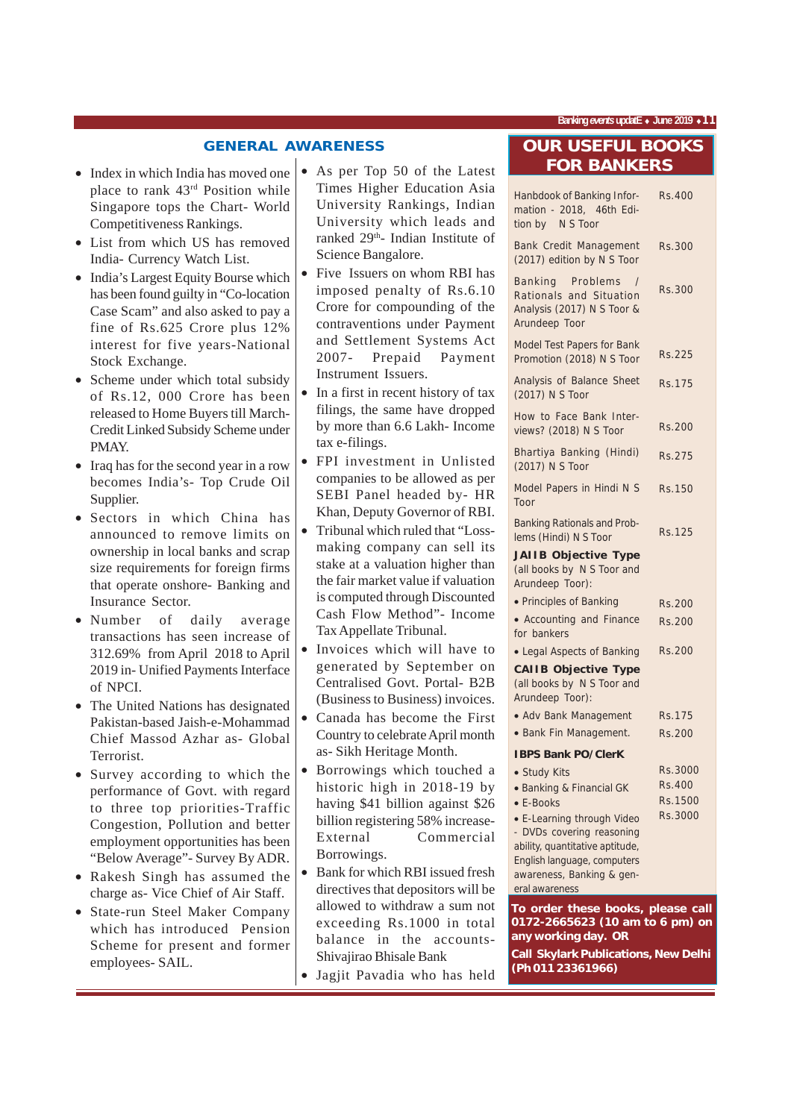**Banking** *events* **updatE** ♦ **June 2019** ♦**11**

#### **GENERAL AWARENESS**

- Index in which India has moved one place to rank 43rd Position while Singapore tops the Chart- World Competitiveness Rankings.
- List from which US has removed India- Currency Watch List.
- India's Largest Equity Bourse which has been found guilty in "Co-location Case Scam" and also asked to pay a fine of Rs.625 Crore plus 12% interest for five years-National Stock Exchange.
- Scheme under which total subsidy of Rs.12, 000 Crore has been released to Home Buyers till March-Credit Linked Subsidy Scheme under PMAY.
- Iraq has for the second year in a row becomes India's- Top Crude Oil Supplier.
- Sectors in which China has announced to remove limits on ownership in local banks and scrap size requirements for foreign firms that operate onshore- Banking and Insurance Sector.
- Number of daily average transactions has seen increase of 312.69% from April 2018 to April 2019 in- Unified Payments Interface of NPCI.
- The United Nations has designated Pakistan-based Jaish-e-Mohammad Chief Massod Azhar as- Global **Terrorist**
- Survey according to which the performance of Govt. with regard to three top priorities-Traffic Congestion, Pollution and better employment opportunities has been "Below Average"- Survey By ADR.
- Rakesh Singh has assumed the charge as- Vice Chief of Air Staff.
- State-run Steel Maker Company which has introduced Pension Scheme for present and former employees- SAIL.
- As per Top 50 of the Latest Times Higher Education Asia University Rankings, Indian University which leads and ranked 29<sup>th</sup>- Indian Institute of Science Bangalore.
- Five Issuers on whom RBI has imposed penalty of Rs.6.10 Crore for compounding of the contraventions under Payment and Settlement Systems Act 2007- Prepaid Payment Instrument Issuers.
- In a first in recent history of tax filings, the same have dropped by more than 6.6 Lakh- Income tax e-filings.
- FPI investment in Unlisted companies to be allowed as per SEBI Panel headed by- HR Khan, Deputy Governor of RBI.
- Tribunal which ruled that "Lossmaking company can sell its stake at a valuation higher than the fair market value if valuation is computed through Discounted Cash Flow Method"- Income Tax Appellate Tribunal.
- Invoices which will have to generated by September on Centralised Govt. Portal- B2B (Business to Business) invoices.
- Canada has become the First Country to celebrate April month as- Sikh Heritage Month.
- Borrowings which touched a historic high in 2018-19 by having \$41 billion against \$26 billion registering 58% increase-External Commercial Borrowings.
- Bank for which RBI issued fresh directives that depositors will be allowed to withdraw a sum not exceeding Rs.1000 in total balance in the accounts-Shivajirao Bhisale Bank
- Jagjit Pavadia who has held

### **OUR USEFUL BOOKS FOR BANKERS**

| Hanbdook of Banking Infor-<br>mation - 2018, 46th Edi-<br>tion by N S Toor                             | Rs.400        |
|--------------------------------------------------------------------------------------------------------|---------------|
| Bank Credit Management<br>(2017) edition by N S Toor                                                   | Rs.300        |
| Banking Problems<br>$\prime$<br>Rationals and Situation<br>Analysis (2017) N S Toor &<br>Arundeep Toor | Rs.300        |
| Model Test Papers for Bank<br>Promotion (2018) N S Toor                                                | Rs.225        |
| Analysis of Balance Sheet<br>(2017) N S Toor                                                           | Rs.175        |
| How to Face Bank Inter-<br>views? (2018) N S Toor                                                      | Rs.200        |
| Bhartiya Banking (Hindi)<br>(2017) N S Toor                                                            | <b>Rs.275</b> |
| Model Papers in Hindi N S<br>Toor                                                                      | Rs.150        |
| <b>Banking Rationals and Prob-</b><br>lems (Hindi) N S Toor                                            | <b>Rs.125</b> |
| <b>JAIIB Objective Type</b><br>(all books by N S Toor and<br>Arundeep Toor):                           |               |
| • Principles of Banking                                                                                | Rs.200        |
| • Accounting and Finance<br>for bankers                                                                | Rs.200        |
| • Legal Aspects of Banking                                                                             | Rs.200        |
| <b>CAIIB Objective Type</b><br>(all books by N S Toor and<br>Arundeep Toor):                           |               |
| • Adv Bank Management                                                                                  | Rs.175        |
| · Bank Fin Management.                                                                                 | Rs.200        |
| <b>IBPS Bank PO/ClerK</b>                                                                              |               |
| • Study Kits                                                                                           | Rs.3000       |
| • Banking & Financial GK                                                                               | <b>Rs.400</b> |
| • E-Books                                                                                              | Rs.1500       |
| • E-Learning through Video<br>- DVDs covering reasoning                                                | Rs.3000       |
| ability, quantitative aptitude,                                                                        |               |
| English language, computers                                                                            |               |
| awareness, Banking & gen-                                                                              |               |
| eral awareness                                                                                         |               |
| To order these books, please call<br>0172-2665623 (10 am to 6 pm) on                                   |               |
| any working day. OR                                                                                    |               |

**Call Skylark Publications, New Delhi (Ph 011 23361966)**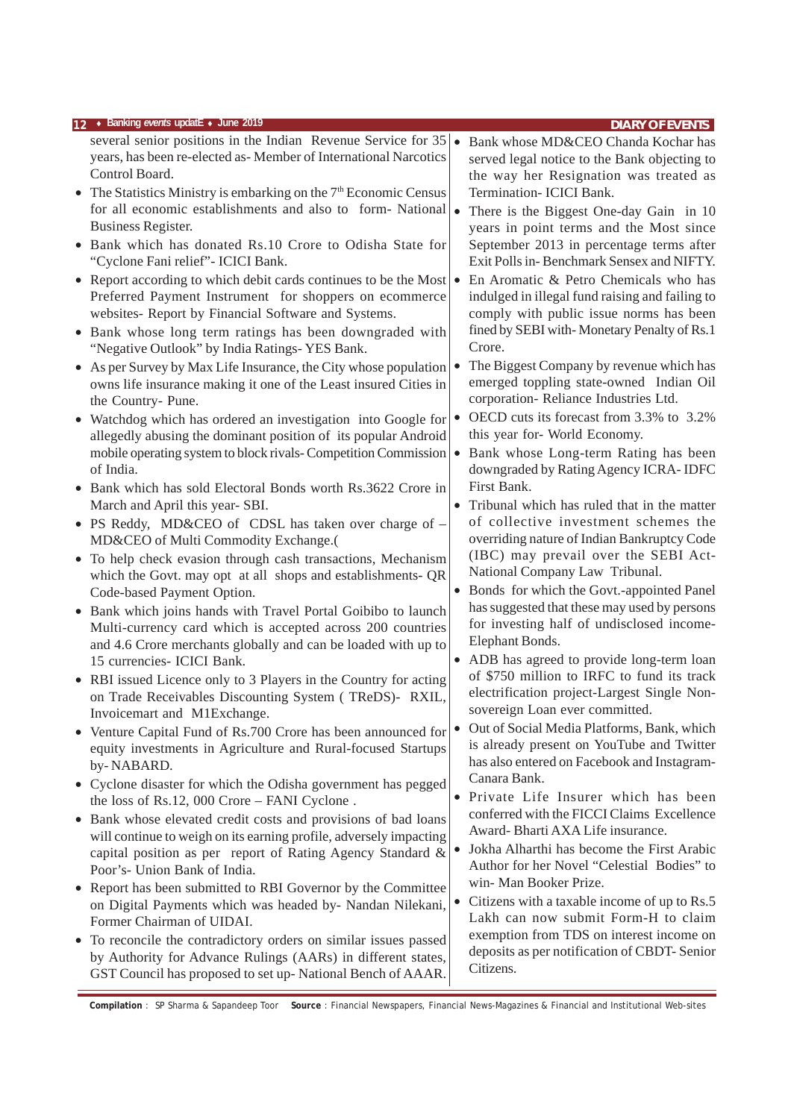|           | 12 • Banking events updatE • June 2019                                                                                           |           | <b>DIARY OF EVENTS</b>                                                                    |
|-----------|----------------------------------------------------------------------------------------------------------------------------------|-----------|-------------------------------------------------------------------------------------------|
|           | several senior positions in the Indian Revenue Service for 35                                                                    | $\bullet$ | Bank whose MD&CEO Chanda Kochar has                                                       |
|           | years, has been re-elected as-Member of International Narcotics<br>Control Board.                                                |           | served legal notice to the Bank objecting to                                              |
|           | • The Statistics Ministry is embarking on the $7th$ Economic Census                                                              |           | the way her Resignation was treated as<br>Termination- ICICI Bank.                        |
|           | for all economic establishments and also to form-National .                                                                      |           | There is the Biggest One-day Gain in 10                                                   |
|           | Business Register.                                                                                                               |           | years in point terms and the Most since                                                   |
|           | Bank which has donated Rs.10 Crore to Odisha State for                                                                           |           | September 2013 in percentage terms after                                                  |
|           | "Cyclone Fani relief" - ICICI Bank.                                                                                              |           | Exit Polls in-Benchmark Sensex and NIFTY.                                                 |
| $\bullet$ | Report according to which debit cards continues to be the Most $\bullet$                                                         |           | En Aromatic & Petro Chemicals who has                                                     |
|           | Preferred Payment Instrument for shoppers on ecommerce                                                                           |           | indulged in illegal fund raising and failing to                                           |
|           | websites- Report by Financial Software and Systems.                                                                              |           | comply with public issue norms has been                                                   |
|           | • Bank whose long term ratings has been downgraded with                                                                          |           | fined by SEBI with-Monetary Penalty of Rs.1                                               |
|           | "Negative Outlook" by India Ratings-YES Bank.                                                                                    |           | Crore.                                                                                    |
|           | • As per Survey by Max Life Insurance, the City whose population                                                                 |           | The Biggest Company by revenue which has                                                  |
|           | owns life insurance making it one of the Least insured Cities in                                                                 |           | emerged toppling state-owned Indian Oil<br>corporation-Reliance Industries Ltd.           |
|           | the Country- Pune.                                                                                                               | $\bullet$ | OECD cuts its forecast from 3.3% to 3.2%                                                  |
|           | Watchdog which has ordered an investigation into Google for<br>allegedly abusing the dominant position of its popular Android    |           | this year for- World Economy.                                                             |
|           | mobile operating system to block rivals-Competition Commission                                                                   | $\bullet$ | Bank whose Long-term Rating has been                                                      |
|           | of India.                                                                                                                        |           | downgraded by Rating Agency ICRA-IDFC                                                     |
| $\bullet$ | Bank which has sold Electoral Bonds worth Rs.3622 Crore in                                                                       |           | First Bank.                                                                               |
|           | March and April this year- SBI.                                                                                                  |           | Tribunal which has ruled that in the matter                                               |
|           | • PS Reddy, MD&CEO of CDSL has taken over charge of -                                                                            |           | of collective investment schemes the                                                      |
|           | MD&CEO of Multi Commodity Exchange.(                                                                                             |           | overriding nature of Indian Bankruptcy Code                                               |
|           | • To help check evasion through cash transactions, Mechanism                                                                     |           | (IBC) may prevail over the SEBI Act-                                                      |
|           | which the Govt. may opt at all shops and establishments- QR                                                                      |           | National Company Law Tribunal.                                                            |
|           | Code-based Payment Option.                                                                                                       |           | Bonds for which the Govt.-appointed Panel                                                 |
| $\bullet$ | Bank which joins hands with Travel Portal Goibibo to launch                                                                      |           | has suggested that these may used by persons<br>for investing half of undisclosed income- |
|           | Multi-currency card which is accepted across 200 countries<br>and 4.6 Crore merchants globally and can be loaded with up to      |           | Elephant Bonds.                                                                           |
|           | 15 currencies- ICICI Bank.                                                                                                       |           | • ADB has agreed to provide long-term loan                                                |
|           | • RBI issued Licence only to 3 Players in the Country for acting                                                                 |           | of \$750 million to IRFC to fund its track                                                |
|           | on Trade Receivables Discounting System (TReDS)-RXIL,                                                                            |           | electrification project-Largest Single Non-                                               |
|           | Invoicemart and M1Exchange.                                                                                                      |           | sovereign Loan ever committed.                                                            |
| $\bullet$ | Venture Capital Fund of Rs.700 Crore has been announced for                                                                      | $\bullet$ | Out of Social Media Platforms, Bank, which                                                |
|           | equity investments in Agriculture and Rural-focused Startups                                                                     |           | is already present on YouTube and Twitter                                                 |
|           | by-NABARD.                                                                                                                       |           | has also entered on Facebook and Instagram-<br>Canara Bank.                               |
|           | • Cyclone disaster for which the Odisha government has pegged                                                                    |           | • Private Life Insurer which has been                                                     |
|           | the loss of Rs.12, 000 Crore - FANI Cyclone.                                                                                     |           | conferred with the FICCI Claims Excellence                                                |
|           | • Bank whose elevated credit costs and provisions of bad loans                                                                   |           | Award-Bharti AXA Life insurance.                                                          |
|           | will continue to weigh on its earning profile, adversely impacting<br>capital position as per report of Rating Agency Standard & | $\bullet$ | Jokha Alharthi has become the First Arabic                                                |
|           | Poor's- Union Bank of India.                                                                                                     |           | Author for her Novel "Celestial Bodies" to                                                |
|           | • Report has been submitted to RBI Governor by the Committee                                                                     |           | win-Man Booker Prize.                                                                     |
|           | on Digital Payments which was headed by- Nandan Nilekani,                                                                        |           | Citizens with a taxable income of up to Rs.5                                              |
|           | Former Chairman of UIDAI.                                                                                                        |           | Lakh can now submit Form-H to claim                                                       |
| $\bullet$ | To reconcile the contradictory orders on similar issues passed                                                                   |           | exemption from TDS on interest income on                                                  |
|           | by Authority for Advance Rulings (AARs) in different states,                                                                     |           | deposits as per notification of CBDT- Senior                                              |
|           | GST Council has proposed to set up- National Bench of AAAR.                                                                      |           | Citizens.                                                                                 |

**Compilation** : SP Sharma & Sapandeep Toor **Source** : Financial Newspapers, Financial News-Magazines & Financial and Institutional Web-sites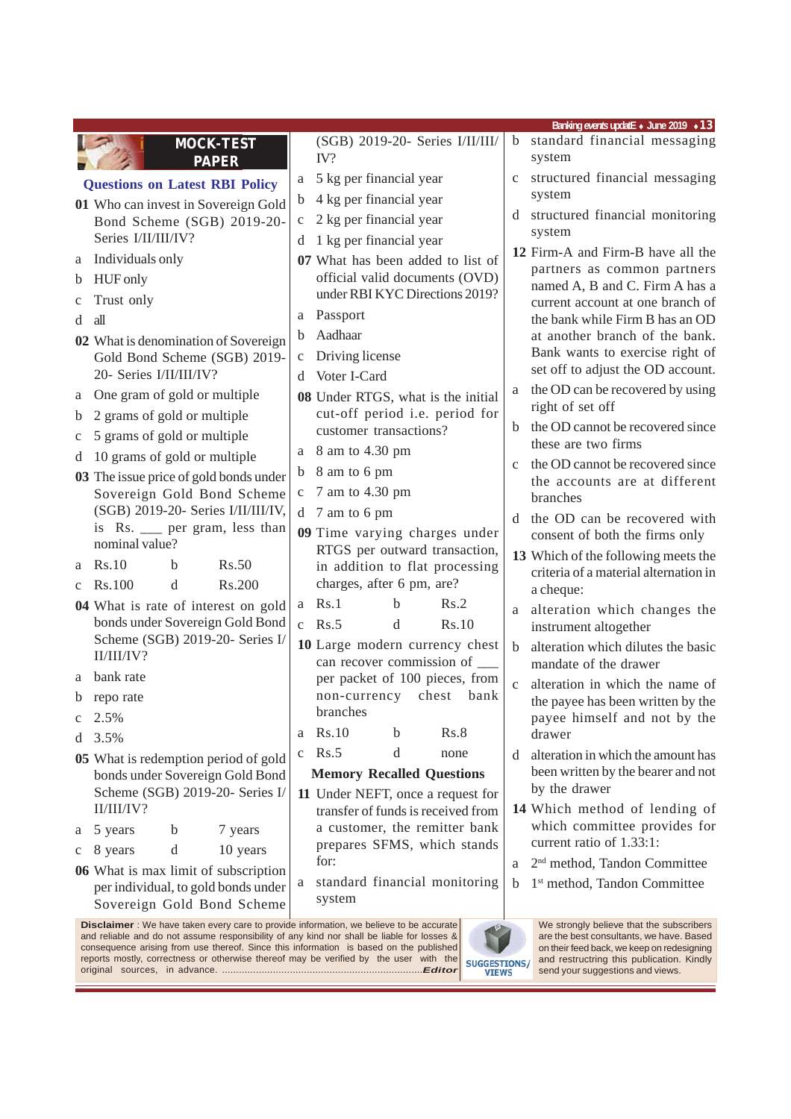|              |                                                                         |              |                                                                |       |              | Banking events updatE + June 2019 + 13                                       |
|--------------|-------------------------------------------------------------------------|--------------|----------------------------------------------------------------|-------|--------------|------------------------------------------------------------------------------|
|              | <b>MOCK-TEST</b><br><b>PAPER</b>                                        |              | (SGB) 2019-20- Series I/II/III/<br>IV?                         |       | $\mathbf b$  | standard financial messaging<br>system                                       |
|              | <b>Questions on Latest RBI Policy</b>                                   | a            | 5 kg per financial year                                        |       | $\mathbf c$  | structured financial messaging                                               |
|              | 01 Who can invest in Sovereign Gold                                     | b            | 4 kg per financial year                                        |       |              | system                                                                       |
|              | Bond Scheme (SGB) 2019-20-                                              | $\mathbf C$  | 2 kg per financial year                                        |       |              | d structured financial monitoring                                            |
|              | Series I/II/II/IV?                                                      | d            | 1 kg per financial year                                        |       |              | system                                                                       |
|              | a Individuals only                                                      |              | 07 What has been added to list of                              |       |              | 12 Firm-A and Firm-B have all the<br>partners as common partners             |
| b            | <b>HUF</b> only                                                         |              | official valid documents (OVD)                                 |       |              | named A, B and C. Firm A has a                                               |
| C            | Trust only                                                              |              | under RBI KYC Directions 2019?                                 |       |              | current account at one branch of                                             |
| d            | all                                                                     | a            | Passport                                                       |       |              | the bank while Firm B has an OD                                              |
|              | 02 What is denomination of Sovereign                                    | b            | Aadhaar                                                        |       |              | at another branch of the bank.                                               |
|              | Gold Bond Scheme (SGB) 2019-                                            | $\mathbf c$  | Driving license                                                |       |              | Bank wants to exercise right of<br>set off to adjust the OD account.         |
|              | 20- Series I/II/III/IV?                                                 | <sub>d</sub> | Voter I-Card                                                   |       |              | the OD can be recovered by using                                             |
| a            | One gram of gold or multiple                                            |              | 08 Under RTGS, what is the initial                             |       | a            | right of set off                                                             |
| b            | 2 grams of gold or multiple                                             |              | cut-off period i.e. period for<br>customer transactions?       |       |              | the OD cannot be recovered since                                             |
| c            | 5 grams of gold or multiple                                             |              | 8 am to 4.30 pm                                                |       |              | these are two firms                                                          |
| d            | 10 grams of gold or multiple                                            | a            | 8 am to 6 pm                                                   |       | $\mathbf{C}$ | the OD cannot be recovered since                                             |
|              | 03 The issue price of gold bonds under                                  | $\mathbf b$  | 7 am to 4.30 pm                                                |       |              | the accounts are at different                                                |
|              | Sovereign Gold Bond Scheme<br>(SGB) 2019-20- Series I/II/III/IV,        | $\mathbf c$  |                                                                |       |              | branches                                                                     |
|              | is Rs. __ per gram, less than                                           | d            | 7 am to 6 pm                                                   |       |              | d the OD can be recovered with                                               |
|              | nominal value?                                                          |              | 09 Time varying charges under<br>RTGS per outward transaction, |       |              | consent of both the firms only                                               |
| a            | Rs.50<br>Rs.10<br>b                                                     |              | in addition to flat processing                                 |       |              | 13 Which of the following meets the<br>criteria of a material alternation in |
| $\mathbf{C}$ | Rs.200<br>Rs.100<br>d                                                   |              | charges, after 6 pm, are?                                      |       |              | a cheque:                                                                    |
|              | 04 What is rate of interest on gold                                     | a            | <b>Rs.1</b><br>Rs.2<br>b                                       |       | a            | alteration which changes the                                                 |
|              | bonds under Sovereign Gold Bond                                         |              | c $Rs.5$<br>d                                                  | Rs.10 |              | instrument altogether                                                        |
|              | Scheme (SGB) 2019-20- Series I/<br>II/II/IV?                            |              | 10 Large modern currency chest                                 |       | b            | alteration which dilutes the basic                                           |
|              |                                                                         |              | can recover commission of ______                               |       |              | mandate of the drawer                                                        |
| a            | bank rate                                                               |              | per packet of 100 pieces, from<br>non-currency chest           | bank  | $\mathbf{C}$ | alteration in which the name of                                              |
|              | b reporate                                                              |              | branches                                                       |       |              | the payee has been written by the                                            |
| c            | 2.5%                                                                    | a            | Rs.10<br>b                                                     | Rs.8  |              | payee himself and not by the<br>drawer                                       |
| d            | 3.5%                                                                    | c            | Rs.5<br>d                                                      | none  | d            | alteration in which the amount has                                           |
|              | 05 What is redemption period of gold<br>bonds under Sovereign Gold Bond |              | <b>Memory Recalled Questions</b>                               |       |              | been written by the bearer and not                                           |
|              | Scheme (SGB) 2019-20- Series I/                                         |              | 11 Under NEFT, once a request for                              |       |              | by the drawer                                                                |
|              | II/III/IV?                                                              |              | transfer of funds is received from                             |       |              | 14 Which method of lending of                                                |
| а            | 5 years<br>b<br>7 years                                                 |              | a customer, the remitter bank                                  |       |              | which committee provides for                                                 |
| c            | d<br>10 years<br>8 years                                                |              | prepares SFMS, which stands                                    |       |              | current ratio of 1.33:1:                                                     |
|              | 06 What is max limit of subscription                                    |              | for:                                                           |       | a            | 2 <sup>nd</sup> method, Tandon Committee                                     |
|              | per individual, to gold bonds under<br>Sovereign Gold Bond Scheme       | a            | standard financial monitoring<br>system                        |       | b            | 1 <sup>st</sup> method, Tandon Committee                                     |

**Disclaimer** : We have taken every care to provide information, we believe to be accurate and reliable and do not assume responsibility of any kind nor shall be liable for losses & consequence arising from use thereof. Since this information is based on the published reports mostly, correctness or otherwise thereof may be verified by the user with the original sources, in advance. .......................................................................*Editor*



We strongly believe that the subscribers are the best consultants, we have. Based on their feed back, we keep on redesigning and restructring this publication. Kindly send your suggestions and views.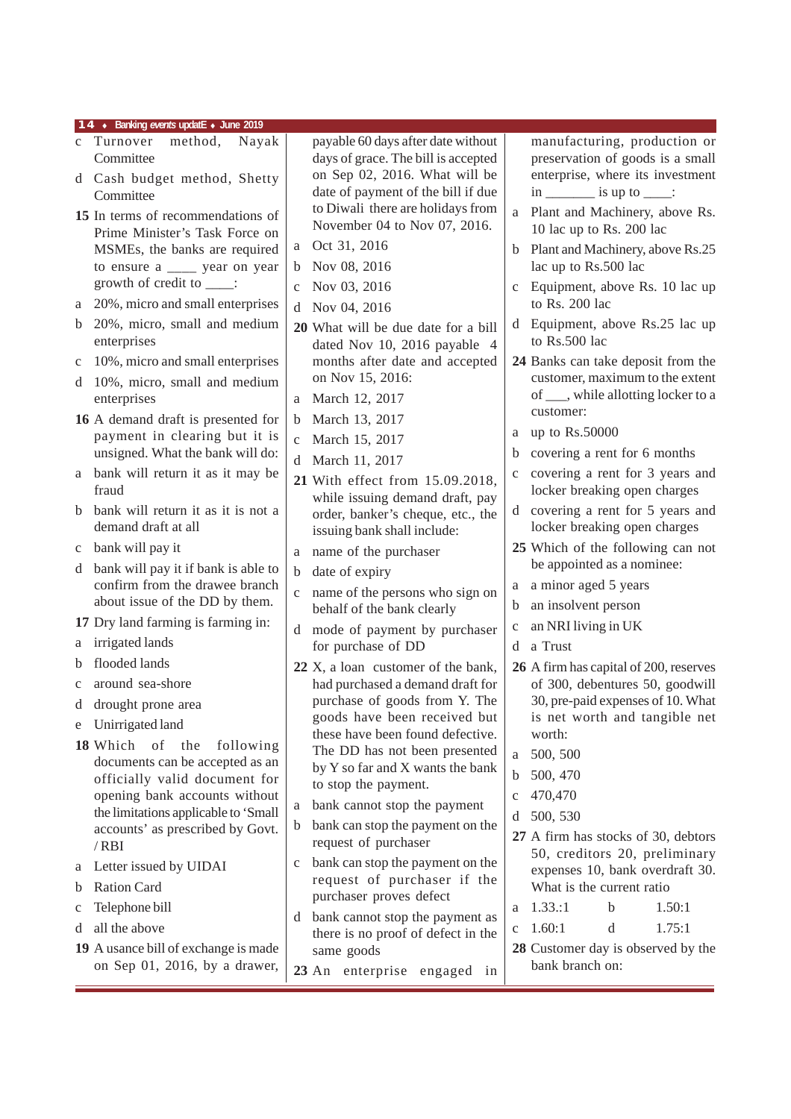- c Turnover method, Nayak **Committee**
- d Cash budget method, Shetty Committee
- **15** In terms of recommendations of Prime Minister's Task Force on MSMEs, the banks are required to ensure a \_\_\_\_ year on year growth of credit to \_\_\_\_:
- a 20%, micro and small enterprises
- b 20%, micro, small and medium enterprises
- c 10%, micro and small enterprises
- d 10%, micro, small and medium enterprises
- **16** A demand draft is presented for payment in clearing but it is unsigned. What the bank will do:
- a bank will return it as it may be fraud
- b bank will return it as it is not a demand draft at all
- c bank will pay it
- d bank will pay it if bank is able to confirm from the drawee branch about issue of the DD by them.
- **17** Dry land farming is farming in:
- a irrigated lands
- b flooded lands
- c around sea-shore
- d drought prone area
- e Unirrigated land
- **18** Which of the following documents can be accepted as an officially valid document for opening bank accounts without the limitations applicable to 'Small accounts' as prescribed by Govt. / RBI
- a Letter issued by UIDAI
- b Ration Card
- c Telephone bill
- d all the above

**19** A usance bill of exchange is made on Sep 01, 2016, by a drawer, payable 60 days after date without days of grace. The bill is accepted on Sep 02, 2016. What will be date of payment of the bill if due to Diwali there are holidays from November 04 to Nov 07, 2016.

- a Oct 31, 2016
- b Nov 08, 2016
- c Nov 03, 2016
- d Nov 04, 2016
- **20** What will be due date for a bill dated Nov 10, 2016 payable 4 months after date and accepted on Nov 15, 2016:
- a March 12, 2017
- b March 13, 2017
- c March 15, 2017
- d March 11, 2017
- **21** With effect from 15.09.2018, while issuing demand draft, pay order, banker's cheque, etc., the issuing bank shall include:
- a name of the purchaser
- b date of expiry
- c name of the persons who sign on behalf of the bank clearly
- mode of payment by purchaser for purchase of DD
- **22** X, a loan customer of the bank, had purchased a demand draft for purchase of goods from Y. The goods have been received but these have been found defective. The DD has not been presented by Y so far and X wants the bank to stop the payment.
- a bank cannot stop the payment
- b bank can stop the payment on the request of purchaser
- c bank can stop the payment on the request of purchaser if the purchaser proves defect
- d bank cannot stop the payment as there is no proof of defect in the same goods
- **23** An enterprise engaged in

manufacturing, production or preservation of goods is a small enterprise, where its investment  $\text{in}$  \_\_\_\_\_\_\_\_ is up to \_\_\_\_:

- a Plant and Machinery, above Rs. 10 lac up to Rs. 200 lac
- b Plant and Machinery, above Rs.25 lac up to Rs.500 lac
- c Equipment, above Rs. 10 lac up to Rs. 200 lac
- d Equipment, above Rs.25 lac up to Rs.500 lac
- **24** Banks can take deposit from the customer, maximum to the extent of \_\_\_, while allotting locker to a customer:
- a up to Rs.50000
- b covering a rent for 6 months
- c covering a rent for 3 years and locker breaking open charges
- d covering a rent for 5 years and locker breaking open charges
- **25** Which of the following can not be appointed as a nominee:
- a a minor aged 5 years
- b an insolvent person
- c an NRI living in UK
- d a Trust
- **26** A firm has capital of 200, reserves of 300, debentures 50, goodwill 30, pre-paid expenses of 10. What is net worth and tangible net worth:
- a 500, 500
- b 500, 470
- c 470,470
- d 500, 530
- **27** A firm has stocks of 30, debtors 50, creditors 20, preliminary expenses 10, bank overdraft 30. What is the current ratio
- a 1.33.:1 b 1.50:1 c 1.60:1 d 1.75:1
- **28** Customer day is observed by the bank branch on: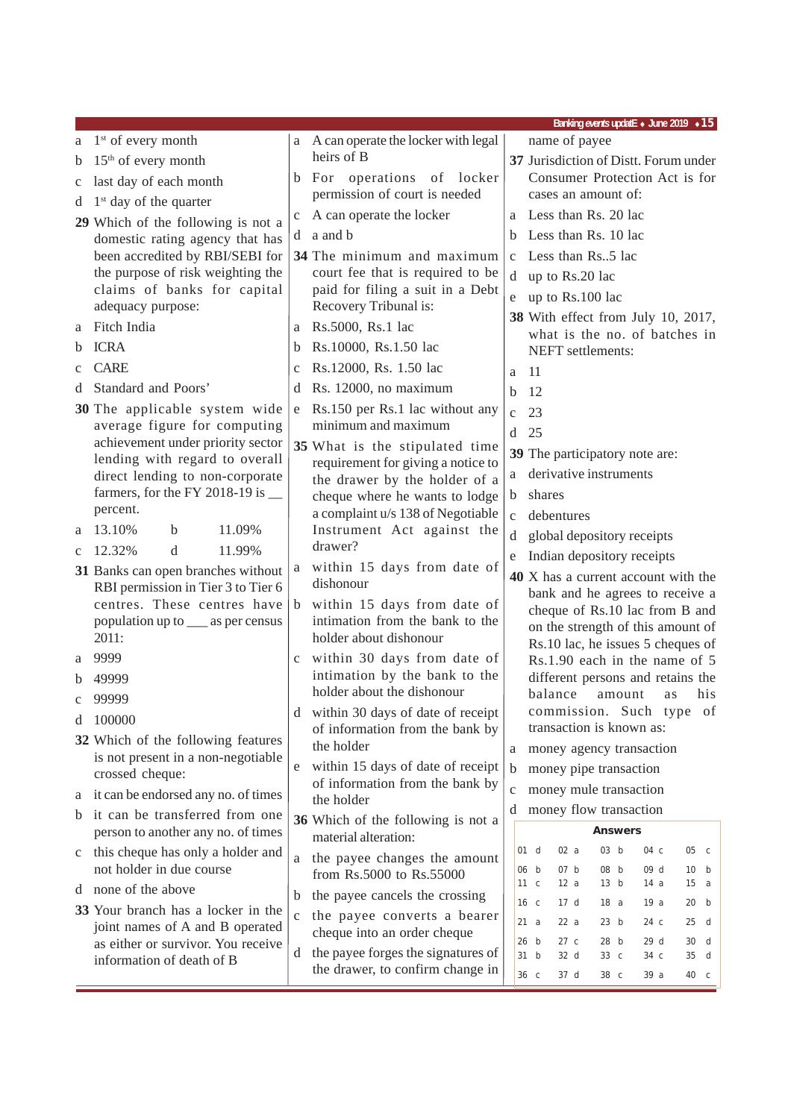| $1st$ of every month<br>a A can operate the locker with legal<br>name of payee<br>a<br>heirs of B<br>$15th$ of every month<br>37 Jurisdiction of Distt. Forum under<br>b<br>Consumer Protection Act is for<br>b For operations of locker<br>last day of each month<br>c<br>permission of court is needed<br>cases an amount of:<br>$1st$ day of the quarter<br>d<br>a Less than Rs. 20 lac<br>A can operate the locker<br>$\mathbf C$<br>29 Which of the following is not a<br>a and b<br>Less than Rs. 10 lac<br>b<br>d<br>domestic rating agency that has<br>been accredited by RBI/SEBI for<br>34 The minimum and maximum<br>Less than Rs5 lac<br>$\mathbf{C}$<br>the purpose of risk weighting the<br>court fee that is required to be<br>d up to Rs.20 lac<br>claims of banks for capital<br>paid for filing a suit in a Debt<br>up to Rs.100 lac<br>e<br>Recovery Tribunal is:<br>adequacy purpose:<br>38 With effect from July 10, 2017,<br>Fitch India<br>Rs.5000, Rs.1 lac<br>a<br>a<br>what is the no. of batches in<br><b>ICRA</b><br>Rs.10000, Rs.1.50 lac<br>b<br>b<br>NEFT settlements:<br><b>CARE</b><br>Rs.12000, Rs. 1.50 lac<br>$\mathbf c$<br>11<br>a<br>Standard and Poors'<br>Rs. 12000, no maximum<br>d<br>d<br>12<br>b<br>30 The applicable system wide<br>Rs.150 per Rs.1 lac without any<br>e<br>23<br>$\mathbf{C}$<br>minimum and maximum<br>average figure for computing<br>25<br>d<br>achievement under priority sector<br>35 What is the stipulated time<br>39 The participatory note are:<br>lending with regard to overall<br>requirement for giving a notice to<br>derivative instruments<br>direct lending to non-corporate<br>a<br>the drawer by the holder of a<br>farmers, for the FY 2018-19 is __<br>shares<br>cheque where he wants to lodge<br>b<br>percent.<br>a complaint u/s 138 of Negotiable<br>debentures<br>$\mathbf{C}$<br>13.10%<br>11.09%<br>Instrument Act against the<br>b<br>a<br>global depository receipts<br>d<br>drawer?<br>12.32%<br>d<br>11.99%<br>$\mathbf c$<br>Indian depository receipts<br>e<br>within 15 days from date of<br>a<br>31 Banks can open branches without<br>40 X has a current account with the<br>dishonour<br>RBI permission in Tier 3 to Tier 6<br>bank and he agrees to receive a<br>centres. These centres have<br>within 15 days from date of<br>b<br>cheque of Rs.10 lac from B and<br>intimation from the bank to the<br>population up to __ as per census<br>on the strength of this amount of<br>holder about dishonour<br>2011:<br>Rs.10 lac, he issues 5 cheques of<br>9999<br>c within 30 days from date of<br>Rs.1.90 each in the name of 5<br>a<br>intimation by the bank to the<br>different persons and retains the<br>49999<br>b<br>holder about the dishonour<br>balance<br>his<br>amount<br>as<br>99999<br>commission. Such type of<br>d within 30 days of date of receipt<br>100000<br>d<br>transaction is known as:<br>of information from the bank by<br>32 Which of the following features<br>the holder<br>money agency transaction<br>a<br>is not present in a non-negotiable<br>within 15 days of date of receipt<br>e<br>money pipe transaction<br>b<br>crossed cheque:<br>of information from the bank by<br>money mule transaction<br>$\mathbf c$<br>a it can be endorsed any no. of times<br>the holder<br>money flow transaction<br>d<br>b it can be transferred from one<br>36 Which of the following is not a<br>person to another any no. of times<br><b>Answers</b><br>material alteration:<br>02a<br>03 <sub>b</sub><br>05 <sub>c</sub><br>01 d<br>04 c<br>this cheque has only a holder and<br>$\mathbf c$<br>the payee changes the amount<br>a<br>not holder in due course<br>07 b<br>08 <sub>b</sub><br>09 d<br>06 b<br>10 b<br>from Rs.5000 to Rs.55000<br>12a<br>13 b<br>15 a<br>11 <sub>c</sub><br>14 a<br>none of the above<br>d<br>the payee cancels the crossing<br>b<br>16 c<br>17 <sub>d</sub><br>18 a<br>19a<br>20 b<br>33 Your branch has a locker in the<br>the payee converts a bearer<br>$\mathbf{C}$<br>21 a<br>22a<br>23 b<br>24 c<br>$25$ d<br>joint names of A and B operated<br>cheque into an order cheque<br>as either or survivor. You receive<br>26 b<br>27c<br>28 b<br>29d<br>30 d<br>the payee forges the signatures of<br>d<br>31 b<br>32 d<br>33 c<br>34 c<br>35 d<br>information of death of B<br>the drawer, to confirm change in<br>36 c<br>37 d<br>39 a<br>38 c<br>40 c |  | Banking events updatE • June 2019 • 15 |
|-----------------------------------------------------------------------------------------------------------------------------------------------------------------------------------------------------------------------------------------------------------------------------------------------------------------------------------------------------------------------------------------------------------------------------------------------------------------------------------------------------------------------------------------------------------------------------------------------------------------------------------------------------------------------------------------------------------------------------------------------------------------------------------------------------------------------------------------------------------------------------------------------------------------------------------------------------------------------------------------------------------------------------------------------------------------------------------------------------------------------------------------------------------------------------------------------------------------------------------------------------------------------------------------------------------------------------------------------------------------------------------------------------------------------------------------------------------------------------------------------------------------------------------------------------------------------------------------------------------------------------------------------------------------------------------------------------------------------------------------------------------------------------------------------------------------------------------------------------------------------------------------------------------------------------------------------------------------------------------------------------------------------------------------------------------------------------------------------------------------------------------------------------------------------------------------------------------------------------------------------------------------------------------------------------------------------------------------------------------------------------------------------------------------------------------------------------------------------------------------------------------------------------------------------------------------------------------------------------------------------------------------------------------------------------------------------------------------------------------------------------------------------------------------------------------------------------------------------------------------------------------------------------------------------------------------------------------------------------------------------------------------------------------------------------------------------------------------------------------------------------------------------------------------------------------------------------------------------------------------------------------------------------------------------------------------------------------------------------------------------------------------------------------------------------------------------------------------------------------------------------------------------------------------------------------------------------------------------------------------------------------------------------------------------------------------------------------------------------------------------------------------------------------------------------------------------------------------------------------------------------------------------------------------------------------------------------------------------------------------------------------------------------------------------------------------------------------------------------------------------------------------------------------------------------------------------------------------------------------------------------------------------------------------------------------------------------------------------------------------------------------------------------------------------------|--|----------------------------------------|
|                                                                                                                                                                                                                                                                                                                                                                                                                                                                                                                                                                                                                                                                                                                                                                                                                                                                                                                                                                                                                                                                                                                                                                                                                                                                                                                                                                                                                                                                                                                                                                                                                                                                                                                                                                                                                                                                                                                                                                                                                                                                                                                                                                                                                                                                                                                                                                                                                                                                                                                                                                                                                                                                                                                                                                                                                                                                                                                                                                                                                                                                                                                                                                                                                                                                                                                                                                                                                                                                                                                                                                                                                                                                                                                                                                                                                                                                                                                                                                                                                                                                                                                                                                                                                                                                                                                                                                                                                             |  |                                        |
|                                                                                                                                                                                                                                                                                                                                                                                                                                                                                                                                                                                                                                                                                                                                                                                                                                                                                                                                                                                                                                                                                                                                                                                                                                                                                                                                                                                                                                                                                                                                                                                                                                                                                                                                                                                                                                                                                                                                                                                                                                                                                                                                                                                                                                                                                                                                                                                                                                                                                                                                                                                                                                                                                                                                                                                                                                                                                                                                                                                                                                                                                                                                                                                                                                                                                                                                                                                                                                                                                                                                                                                                                                                                                                                                                                                                                                                                                                                                                                                                                                                                                                                                                                                                                                                                                                                                                                                                                             |  |                                        |
|                                                                                                                                                                                                                                                                                                                                                                                                                                                                                                                                                                                                                                                                                                                                                                                                                                                                                                                                                                                                                                                                                                                                                                                                                                                                                                                                                                                                                                                                                                                                                                                                                                                                                                                                                                                                                                                                                                                                                                                                                                                                                                                                                                                                                                                                                                                                                                                                                                                                                                                                                                                                                                                                                                                                                                                                                                                                                                                                                                                                                                                                                                                                                                                                                                                                                                                                                                                                                                                                                                                                                                                                                                                                                                                                                                                                                                                                                                                                                                                                                                                                                                                                                                                                                                                                                                                                                                                                                             |  |                                        |
|                                                                                                                                                                                                                                                                                                                                                                                                                                                                                                                                                                                                                                                                                                                                                                                                                                                                                                                                                                                                                                                                                                                                                                                                                                                                                                                                                                                                                                                                                                                                                                                                                                                                                                                                                                                                                                                                                                                                                                                                                                                                                                                                                                                                                                                                                                                                                                                                                                                                                                                                                                                                                                                                                                                                                                                                                                                                                                                                                                                                                                                                                                                                                                                                                                                                                                                                                                                                                                                                                                                                                                                                                                                                                                                                                                                                                                                                                                                                                                                                                                                                                                                                                                                                                                                                                                                                                                                                                             |  |                                        |
|                                                                                                                                                                                                                                                                                                                                                                                                                                                                                                                                                                                                                                                                                                                                                                                                                                                                                                                                                                                                                                                                                                                                                                                                                                                                                                                                                                                                                                                                                                                                                                                                                                                                                                                                                                                                                                                                                                                                                                                                                                                                                                                                                                                                                                                                                                                                                                                                                                                                                                                                                                                                                                                                                                                                                                                                                                                                                                                                                                                                                                                                                                                                                                                                                                                                                                                                                                                                                                                                                                                                                                                                                                                                                                                                                                                                                                                                                                                                                                                                                                                                                                                                                                                                                                                                                                                                                                                                                             |  |                                        |
|                                                                                                                                                                                                                                                                                                                                                                                                                                                                                                                                                                                                                                                                                                                                                                                                                                                                                                                                                                                                                                                                                                                                                                                                                                                                                                                                                                                                                                                                                                                                                                                                                                                                                                                                                                                                                                                                                                                                                                                                                                                                                                                                                                                                                                                                                                                                                                                                                                                                                                                                                                                                                                                                                                                                                                                                                                                                                                                                                                                                                                                                                                                                                                                                                                                                                                                                                                                                                                                                                                                                                                                                                                                                                                                                                                                                                                                                                                                                                                                                                                                                                                                                                                                                                                                                                                                                                                                                                             |  |                                        |
|                                                                                                                                                                                                                                                                                                                                                                                                                                                                                                                                                                                                                                                                                                                                                                                                                                                                                                                                                                                                                                                                                                                                                                                                                                                                                                                                                                                                                                                                                                                                                                                                                                                                                                                                                                                                                                                                                                                                                                                                                                                                                                                                                                                                                                                                                                                                                                                                                                                                                                                                                                                                                                                                                                                                                                                                                                                                                                                                                                                                                                                                                                                                                                                                                                                                                                                                                                                                                                                                                                                                                                                                                                                                                                                                                                                                                                                                                                                                                                                                                                                                                                                                                                                                                                                                                                                                                                                                                             |  |                                        |
|                                                                                                                                                                                                                                                                                                                                                                                                                                                                                                                                                                                                                                                                                                                                                                                                                                                                                                                                                                                                                                                                                                                                                                                                                                                                                                                                                                                                                                                                                                                                                                                                                                                                                                                                                                                                                                                                                                                                                                                                                                                                                                                                                                                                                                                                                                                                                                                                                                                                                                                                                                                                                                                                                                                                                                                                                                                                                                                                                                                                                                                                                                                                                                                                                                                                                                                                                                                                                                                                                                                                                                                                                                                                                                                                                                                                                                                                                                                                                                                                                                                                                                                                                                                                                                                                                                                                                                                                                             |  |                                        |
|                                                                                                                                                                                                                                                                                                                                                                                                                                                                                                                                                                                                                                                                                                                                                                                                                                                                                                                                                                                                                                                                                                                                                                                                                                                                                                                                                                                                                                                                                                                                                                                                                                                                                                                                                                                                                                                                                                                                                                                                                                                                                                                                                                                                                                                                                                                                                                                                                                                                                                                                                                                                                                                                                                                                                                                                                                                                                                                                                                                                                                                                                                                                                                                                                                                                                                                                                                                                                                                                                                                                                                                                                                                                                                                                                                                                                                                                                                                                                                                                                                                                                                                                                                                                                                                                                                                                                                                                                             |  |                                        |
|                                                                                                                                                                                                                                                                                                                                                                                                                                                                                                                                                                                                                                                                                                                                                                                                                                                                                                                                                                                                                                                                                                                                                                                                                                                                                                                                                                                                                                                                                                                                                                                                                                                                                                                                                                                                                                                                                                                                                                                                                                                                                                                                                                                                                                                                                                                                                                                                                                                                                                                                                                                                                                                                                                                                                                                                                                                                                                                                                                                                                                                                                                                                                                                                                                                                                                                                                                                                                                                                                                                                                                                                                                                                                                                                                                                                                                                                                                                                                                                                                                                                                                                                                                                                                                                                                                                                                                                                                             |  |                                        |
|                                                                                                                                                                                                                                                                                                                                                                                                                                                                                                                                                                                                                                                                                                                                                                                                                                                                                                                                                                                                                                                                                                                                                                                                                                                                                                                                                                                                                                                                                                                                                                                                                                                                                                                                                                                                                                                                                                                                                                                                                                                                                                                                                                                                                                                                                                                                                                                                                                                                                                                                                                                                                                                                                                                                                                                                                                                                                                                                                                                                                                                                                                                                                                                                                                                                                                                                                                                                                                                                                                                                                                                                                                                                                                                                                                                                                                                                                                                                                                                                                                                                                                                                                                                                                                                                                                                                                                                                                             |  |                                        |
|                                                                                                                                                                                                                                                                                                                                                                                                                                                                                                                                                                                                                                                                                                                                                                                                                                                                                                                                                                                                                                                                                                                                                                                                                                                                                                                                                                                                                                                                                                                                                                                                                                                                                                                                                                                                                                                                                                                                                                                                                                                                                                                                                                                                                                                                                                                                                                                                                                                                                                                                                                                                                                                                                                                                                                                                                                                                                                                                                                                                                                                                                                                                                                                                                                                                                                                                                                                                                                                                                                                                                                                                                                                                                                                                                                                                                                                                                                                                                                                                                                                                                                                                                                                                                                                                                                                                                                                                                             |  |                                        |
|                                                                                                                                                                                                                                                                                                                                                                                                                                                                                                                                                                                                                                                                                                                                                                                                                                                                                                                                                                                                                                                                                                                                                                                                                                                                                                                                                                                                                                                                                                                                                                                                                                                                                                                                                                                                                                                                                                                                                                                                                                                                                                                                                                                                                                                                                                                                                                                                                                                                                                                                                                                                                                                                                                                                                                                                                                                                                                                                                                                                                                                                                                                                                                                                                                                                                                                                                                                                                                                                                                                                                                                                                                                                                                                                                                                                                                                                                                                                                                                                                                                                                                                                                                                                                                                                                                                                                                                                                             |  |                                        |
|                                                                                                                                                                                                                                                                                                                                                                                                                                                                                                                                                                                                                                                                                                                                                                                                                                                                                                                                                                                                                                                                                                                                                                                                                                                                                                                                                                                                                                                                                                                                                                                                                                                                                                                                                                                                                                                                                                                                                                                                                                                                                                                                                                                                                                                                                                                                                                                                                                                                                                                                                                                                                                                                                                                                                                                                                                                                                                                                                                                                                                                                                                                                                                                                                                                                                                                                                                                                                                                                                                                                                                                                                                                                                                                                                                                                                                                                                                                                                                                                                                                                                                                                                                                                                                                                                                                                                                                                                             |  |                                        |
|                                                                                                                                                                                                                                                                                                                                                                                                                                                                                                                                                                                                                                                                                                                                                                                                                                                                                                                                                                                                                                                                                                                                                                                                                                                                                                                                                                                                                                                                                                                                                                                                                                                                                                                                                                                                                                                                                                                                                                                                                                                                                                                                                                                                                                                                                                                                                                                                                                                                                                                                                                                                                                                                                                                                                                                                                                                                                                                                                                                                                                                                                                                                                                                                                                                                                                                                                                                                                                                                                                                                                                                                                                                                                                                                                                                                                                                                                                                                                                                                                                                                                                                                                                                                                                                                                                                                                                                                                             |  |                                        |
|                                                                                                                                                                                                                                                                                                                                                                                                                                                                                                                                                                                                                                                                                                                                                                                                                                                                                                                                                                                                                                                                                                                                                                                                                                                                                                                                                                                                                                                                                                                                                                                                                                                                                                                                                                                                                                                                                                                                                                                                                                                                                                                                                                                                                                                                                                                                                                                                                                                                                                                                                                                                                                                                                                                                                                                                                                                                                                                                                                                                                                                                                                                                                                                                                                                                                                                                                                                                                                                                                                                                                                                                                                                                                                                                                                                                                                                                                                                                                                                                                                                                                                                                                                                                                                                                                                                                                                                                                             |  |                                        |
|                                                                                                                                                                                                                                                                                                                                                                                                                                                                                                                                                                                                                                                                                                                                                                                                                                                                                                                                                                                                                                                                                                                                                                                                                                                                                                                                                                                                                                                                                                                                                                                                                                                                                                                                                                                                                                                                                                                                                                                                                                                                                                                                                                                                                                                                                                                                                                                                                                                                                                                                                                                                                                                                                                                                                                                                                                                                                                                                                                                                                                                                                                                                                                                                                                                                                                                                                                                                                                                                                                                                                                                                                                                                                                                                                                                                                                                                                                                                                                                                                                                                                                                                                                                                                                                                                                                                                                                                                             |  |                                        |
|                                                                                                                                                                                                                                                                                                                                                                                                                                                                                                                                                                                                                                                                                                                                                                                                                                                                                                                                                                                                                                                                                                                                                                                                                                                                                                                                                                                                                                                                                                                                                                                                                                                                                                                                                                                                                                                                                                                                                                                                                                                                                                                                                                                                                                                                                                                                                                                                                                                                                                                                                                                                                                                                                                                                                                                                                                                                                                                                                                                                                                                                                                                                                                                                                                                                                                                                                                                                                                                                                                                                                                                                                                                                                                                                                                                                                                                                                                                                                                                                                                                                                                                                                                                                                                                                                                                                                                                                                             |  |                                        |
|                                                                                                                                                                                                                                                                                                                                                                                                                                                                                                                                                                                                                                                                                                                                                                                                                                                                                                                                                                                                                                                                                                                                                                                                                                                                                                                                                                                                                                                                                                                                                                                                                                                                                                                                                                                                                                                                                                                                                                                                                                                                                                                                                                                                                                                                                                                                                                                                                                                                                                                                                                                                                                                                                                                                                                                                                                                                                                                                                                                                                                                                                                                                                                                                                                                                                                                                                                                                                                                                                                                                                                                                                                                                                                                                                                                                                                                                                                                                                                                                                                                                                                                                                                                                                                                                                                                                                                                                                             |  |                                        |
|                                                                                                                                                                                                                                                                                                                                                                                                                                                                                                                                                                                                                                                                                                                                                                                                                                                                                                                                                                                                                                                                                                                                                                                                                                                                                                                                                                                                                                                                                                                                                                                                                                                                                                                                                                                                                                                                                                                                                                                                                                                                                                                                                                                                                                                                                                                                                                                                                                                                                                                                                                                                                                                                                                                                                                                                                                                                                                                                                                                                                                                                                                                                                                                                                                                                                                                                                                                                                                                                                                                                                                                                                                                                                                                                                                                                                                                                                                                                                                                                                                                                                                                                                                                                                                                                                                                                                                                                                             |  |                                        |
|                                                                                                                                                                                                                                                                                                                                                                                                                                                                                                                                                                                                                                                                                                                                                                                                                                                                                                                                                                                                                                                                                                                                                                                                                                                                                                                                                                                                                                                                                                                                                                                                                                                                                                                                                                                                                                                                                                                                                                                                                                                                                                                                                                                                                                                                                                                                                                                                                                                                                                                                                                                                                                                                                                                                                                                                                                                                                                                                                                                                                                                                                                                                                                                                                                                                                                                                                                                                                                                                                                                                                                                                                                                                                                                                                                                                                                                                                                                                                                                                                                                                                                                                                                                                                                                                                                                                                                                                                             |  |                                        |
|                                                                                                                                                                                                                                                                                                                                                                                                                                                                                                                                                                                                                                                                                                                                                                                                                                                                                                                                                                                                                                                                                                                                                                                                                                                                                                                                                                                                                                                                                                                                                                                                                                                                                                                                                                                                                                                                                                                                                                                                                                                                                                                                                                                                                                                                                                                                                                                                                                                                                                                                                                                                                                                                                                                                                                                                                                                                                                                                                                                                                                                                                                                                                                                                                                                                                                                                                                                                                                                                                                                                                                                                                                                                                                                                                                                                                                                                                                                                                                                                                                                                                                                                                                                                                                                                                                                                                                                                                             |  |                                        |
|                                                                                                                                                                                                                                                                                                                                                                                                                                                                                                                                                                                                                                                                                                                                                                                                                                                                                                                                                                                                                                                                                                                                                                                                                                                                                                                                                                                                                                                                                                                                                                                                                                                                                                                                                                                                                                                                                                                                                                                                                                                                                                                                                                                                                                                                                                                                                                                                                                                                                                                                                                                                                                                                                                                                                                                                                                                                                                                                                                                                                                                                                                                                                                                                                                                                                                                                                                                                                                                                                                                                                                                                                                                                                                                                                                                                                                                                                                                                                                                                                                                                                                                                                                                                                                                                                                                                                                                                                             |  |                                        |
|                                                                                                                                                                                                                                                                                                                                                                                                                                                                                                                                                                                                                                                                                                                                                                                                                                                                                                                                                                                                                                                                                                                                                                                                                                                                                                                                                                                                                                                                                                                                                                                                                                                                                                                                                                                                                                                                                                                                                                                                                                                                                                                                                                                                                                                                                                                                                                                                                                                                                                                                                                                                                                                                                                                                                                                                                                                                                                                                                                                                                                                                                                                                                                                                                                                                                                                                                                                                                                                                                                                                                                                                                                                                                                                                                                                                                                                                                                                                                                                                                                                                                                                                                                                                                                                                                                                                                                                                                             |  |                                        |
|                                                                                                                                                                                                                                                                                                                                                                                                                                                                                                                                                                                                                                                                                                                                                                                                                                                                                                                                                                                                                                                                                                                                                                                                                                                                                                                                                                                                                                                                                                                                                                                                                                                                                                                                                                                                                                                                                                                                                                                                                                                                                                                                                                                                                                                                                                                                                                                                                                                                                                                                                                                                                                                                                                                                                                                                                                                                                                                                                                                                                                                                                                                                                                                                                                                                                                                                                                                                                                                                                                                                                                                                                                                                                                                                                                                                                                                                                                                                                                                                                                                                                                                                                                                                                                                                                                                                                                                                                             |  |                                        |
|                                                                                                                                                                                                                                                                                                                                                                                                                                                                                                                                                                                                                                                                                                                                                                                                                                                                                                                                                                                                                                                                                                                                                                                                                                                                                                                                                                                                                                                                                                                                                                                                                                                                                                                                                                                                                                                                                                                                                                                                                                                                                                                                                                                                                                                                                                                                                                                                                                                                                                                                                                                                                                                                                                                                                                                                                                                                                                                                                                                                                                                                                                                                                                                                                                                                                                                                                                                                                                                                                                                                                                                                                                                                                                                                                                                                                                                                                                                                                                                                                                                                                                                                                                                                                                                                                                                                                                                                                             |  |                                        |
|                                                                                                                                                                                                                                                                                                                                                                                                                                                                                                                                                                                                                                                                                                                                                                                                                                                                                                                                                                                                                                                                                                                                                                                                                                                                                                                                                                                                                                                                                                                                                                                                                                                                                                                                                                                                                                                                                                                                                                                                                                                                                                                                                                                                                                                                                                                                                                                                                                                                                                                                                                                                                                                                                                                                                                                                                                                                                                                                                                                                                                                                                                                                                                                                                                                                                                                                                                                                                                                                                                                                                                                                                                                                                                                                                                                                                                                                                                                                                                                                                                                                                                                                                                                                                                                                                                                                                                                                                             |  |                                        |
|                                                                                                                                                                                                                                                                                                                                                                                                                                                                                                                                                                                                                                                                                                                                                                                                                                                                                                                                                                                                                                                                                                                                                                                                                                                                                                                                                                                                                                                                                                                                                                                                                                                                                                                                                                                                                                                                                                                                                                                                                                                                                                                                                                                                                                                                                                                                                                                                                                                                                                                                                                                                                                                                                                                                                                                                                                                                                                                                                                                                                                                                                                                                                                                                                                                                                                                                                                                                                                                                                                                                                                                                                                                                                                                                                                                                                                                                                                                                                                                                                                                                                                                                                                                                                                                                                                                                                                                                                             |  |                                        |
|                                                                                                                                                                                                                                                                                                                                                                                                                                                                                                                                                                                                                                                                                                                                                                                                                                                                                                                                                                                                                                                                                                                                                                                                                                                                                                                                                                                                                                                                                                                                                                                                                                                                                                                                                                                                                                                                                                                                                                                                                                                                                                                                                                                                                                                                                                                                                                                                                                                                                                                                                                                                                                                                                                                                                                                                                                                                                                                                                                                                                                                                                                                                                                                                                                                                                                                                                                                                                                                                                                                                                                                                                                                                                                                                                                                                                                                                                                                                                                                                                                                                                                                                                                                                                                                                                                                                                                                                                             |  |                                        |
|                                                                                                                                                                                                                                                                                                                                                                                                                                                                                                                                                                                                                                                                                                                                                                                                                                                                                                                                                                                                                                                                                                                                                                                                                                                                                                                                                                                                                                                                                                                                                                                                                                                                                                                                                                                                                                                                                                                                                                                                                                                                                                                                                                                                                                                                                                                                                                                                                                                                                                                                                                                                                                                                                                                                                                                                                                                                                                                                                                                                                                                                                                                                                                                                                                                                                                                                                                                                                                                                                                                                                                                                                                                                                                                                                                                                                                                                                                                                                                                                                                                                                                                                                                                                                                                                                                                                                                                                                             |  |                                        |
|                                                                                                                                                                                                                                                                                                                                                                                                                                                                                                                                                                                                                                                                                                                                                                                                                                                                                                                                                                                                                                                                                                                                                                                                                                                                                                                                                                                                                                                                                                                                                                                                                                                                                                                                                                                                                                                                                                                                                                                                                                                                                                                                                                                                                                                                                                                                                                                                                                                                                                                                                                                                                                                                                                                                                                                                                                                                                                                                                                                                                                                                                                                                                                                                                                                                                                                                                                                                                                                                                                                                                                                                                                                                                                                                                                                                                                                                                                                                                                                                                                                                                                                                                                                                                                                                                                                                                                                                                             |  |                                        |
|                                                                                                                                                                                                                                                                                                                                                                                                                                                                                                                                                                                                                                                                                                                                                                                                                                                                                                                                                                                                                                                                                                                                                                                                                                                                                                                                                                                                                                                                                                                                                                                                                                                                                                                                                                                                                                                                                                                                                                                                                                                                                                                                                                                                                                                                                                                                                                                                                                                                                                                                                                                                                                                                                                                                                                                                                                                                                                                                                                                                                                                                                                                                                                                                                                                                                                                                                                                                                                                                                                                                                                                                                                                                                                                                                                                                                                                                                                                                                                                                                                                                                                                                                                                                                                                                                                                                                                                                                             |  |                                        |
|                                                                                                                                                                                                                                                                                                                                                                                                                                                                                                                                                                                                                                                                                                                                                                                                                                                                                                                                                                                                                                                                                                                                                                                                                                                                                                                                                                                                                                                                                                                                                                                                                                                                                                                                                                                                                                                                                                                                                                                                                                                                                                                                                                                                                                                                                                                                                                                                                                                                                                                                                                                                                                                                                                                                                                                                                                                                                                                                                                                                                                                                                                                                                                                                                                                                                                                                                                                                                                                                                                                                                                                                                                                                                                                                                                                                                                                                                                                                                                                                                                                                                                                                                                                                                                                                                                                                                                                                                             |  |                                        |
|                                                                                                                                                                                                                                                                                                                                                                                                                                                                                                                                                                                                                                                                                                                                                                                                                                                                                                                                                                                                                                                                                                                                                                                                                                                                                                                                                                                                                                                                                                                                                                                                                                                                                                                                                                                                                                                                                                                                                                                                                                                                                                                                                                                                                                                                                                                                                                                                                                                                                                                                                                                                                                                                                                                                                                                                                                                                                                                                                                                                                                                                                                                                                                                                                                                                                                                                                                                                                                                                                                                                                                                                                                                                                                                                                                                                                                                                                                                                                                                                                                                                                                                                                                                                                                                                                                                                                                                                                             |  |                                        |
|                                                                                                                                                                                                                                                                                                                                                                                                                                                                                                                                                                                                                                                                                                                                                                                                                                                                                                                                                                                                                                                                                                                                                                                                                                                                                                                                                                                                                                                                                                                                                                                                                                                                                                                                                                                                                                                                                                                                                                                                                                                                                                                                                                                                                                                                                                                                                                                                                                                                                                                                                                                                                                                                                                                                                                                                                                                                                                                                                                                                                                                                                                                                                                                                                                                                                                                                                                                                                                                                                                                                                                                                                                                                                                                                                                                                                                                                                                                                                                                                                                                                                                                                                                                                                                                                                                                                                                                                                             |  |                                        |
|                                                                                                                                                                                                                                                                                                                                                                                                                                                                                                                                                                                                                                                                                                                                                                                                                                                                                                                                                                                                                                                                                                                                                                                                                                                                                                                                                                                                                                                                                                                                                                                                                                                                                                                                                                                                                                                                                                                                                                                                                                                                                                                                                                                                                                                                                                                                                                                                                                                                                                                                                                                                                                                                                                                                                                                                                                                                                                                                                                                                                                                                                                                                                                                                                                                                                                                                                                                                                                                                                                                                                                                                                                                                                                                                                                                                                                                                                                                                                                                                                                                                                                                                                                                                                                                                                                                                                                                                                             |  |                                        |
|                                                                                                                                                                                                                                                                                                                                                                                                                                                                                                                                                                                                                                                                                                                                                                                                                                                                                                                                                                                                                                                                                                                                                                                                                                                                                                                                                                                                                                                                                                                                                                                                                                                                                                                                                                                                                                                                                                                                                                                                                                                                                                                                                                                                                                                                                                                                                                                                                                                                                                                                                                                                                                                                                                                                                                                                                                                                                                                                                                                                                                                                                                                                                                                                                                                                                                                                                                                                                                                                                                                                                                                                                                                                                                                                                                                                                                                                                                                                                                                                                                                                                                                                                                                                                                                                                                                                                                                                                             |  |                                        |
|                                                                                                                                                                                                                                                                                                                                                                                                                                                                                                                                                                                                                                                                                                                                                                                                                                                                                                                                                                                                                                                                                                                                                                                                                                                                                                                                                                                                                                                                                                                                                                                                                                                                                                                                                                                                                                                                                                                                                                                                                                                                                                                                                                                                                                                                                                                                                                                                                                                                                                                                                                                                                                                                                                                                                                                                                                                                                                                                                                                                                                                                                                                                                                                                                                                                                                                                                                                                                                                                                                                                                                                                                                                                                                                                                                                                                                                                                                                                                                                                                                                                                                                                                                                                                                                                                                                                                                                                                             |  |                                        |
|                                                                                                                                                                                                                                                                                                                                                                                                                                                                                                                                                                                                                                                                                                                                                                                                                                                                                                                                                                                                                                                                                                                                                                                                                                                                                                                                                                                                                                                                                                                                                                                                                                                                                                                                                                                                                                                                                                                                                                                                                                                                                                                                                                                                                                                                                                                                                                                                                                                                                                                                                                                                                                                                                                                                                                                                                                                                                                                                                                                                                                                                                                                                                                                                                                                                                                                                                                                                                                                                                                                                                                                                                                                                                                                                                                                                                                                                                                                                                                                                                                                                                                                                                                                                                                                                                                                                                                                                                             |  |                                        |
|                                                                                                                                                                                                                                                                                                                                                                                                                                                                                                                                                                                                                                                                                                                                                                                                                                                                                                                                                                                                                                                                                                                                                                                                                                                                                                                                                                                                                                                                                                                                                                                                                                                                                                                                                                                                                                                                                                                                                                                                                                                                                                                                                                                                                                                                                                                                                                                                                                                                                                                                                                                                                                                                                                                                                                                                                                                                                                                                                                                                                                                                                                                                                                                                                                                                                                                                                                                                                                                                                                                                                                                                                                                                                                                                                                                                                                                                                                                                                                                                                                                                                                                                                                                                                                                                                                                                                                                                                             |  |                                        |
|                                                                                                                                                                                                                                                                                                                                                                                                                                                                                                                                                                                                                                                                                                                                                                                                                                                                                                                                                                                                                                                                                                                                                                                                                                                                                                                                                                                                                                                                                                                                                                                                                                                                                                                                                                                                                                                                                                                                                                                                                                                                                                                                                                                                                                                                                                                                                                                                                                                                                                                                                                                                                                                                                                                                                                                                                                                                                                                                                                                                                                                                                                                                                                                                                                                                                                                                                                                                                                                                                                                                                                                                                                                                                                                                                                                                                                                                                                                                                                                                                                                                                                                                                                                                                                                                                                                                                                                                                             |  |                                        |
|                                                                                                                                                                                                                                                                                                                                                                                                                                                                                                                                                                                                                                                                                                                                                                                                                                                                                                                                                                                                                                                                                                                                                                                                                                                                                                                                                                                                                                                                                                                                                                                                                                                                                                                                                                                                                                                                                                                                                                                                                                                                                                                                                                                                                                                                                                                                                                                                                                                                                                                                                                                                                                                                                                                                                                                                                                                                                                                                                                                                                                                                                                                                                                                                                                                                                                                                                                                                                                                                                                                                                                                                                                                                                                                                                                                                                                                                                                                                                                                                                                                                                                                                                                                                                                                                                                                                                                                                                             |  |                                        |
|                                                                                                                                                                                                                                                                                                                                                                                                                                                                                                                                                                                                                                                                                                                                                                                                                                                                                                                                                                                                                                                                                                                                                                                                                                                                                                                                                                                                                                                                                                                                                                                                                                                                                                                                                                                                                                                                                                                                                                                                                                                                                                                                                                                                                                                                                                                                                                                                                                                                                                                                                                                                                                                                                                                                                                                                                                                                                                                                                                                                                                                                                                                                                                                                                                                                                                                                                                                                                                                                                                                                                                                                                                                                                                                                                                                                                                                                                                                                                                                                                                                                                                                                                                                                                                                                                                                                                                                                                             |  |                                        |